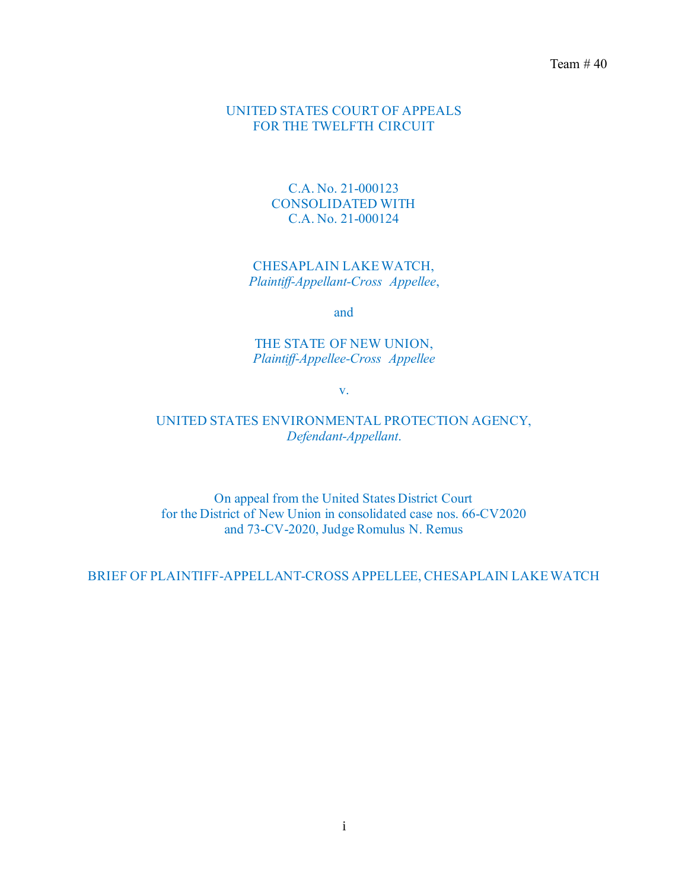Team  $#40$ 

## UNITED STATES COURT OF APPEALS FOR THE TWELFTH CIRCUIT

C.A. No. 21-000123 CONSOLIDATED WITH C.A. No. 21-000124

CHESAPLAIN LAKE WATCH, *Plaintiff-Appellant-Cross Appellee*,

and

## THE STATE OF NEW UNION, *Plaintiff-Appellee-Cross Appellee*

v.

## UNITED STATES ENVIRONMENTAL PROTECTION AGENCY, *Defendant-Appellant*.

On appeal from the United States District Court for the District of New Union in consolidated case nos. 66-CV2020 and 73-CV-2020, Judge Romulus N. Remus

BRIEF OF PLAINTIFF-APPELLANT-CROSS APPELLEE, CHESAPLAIN LAKE WATCH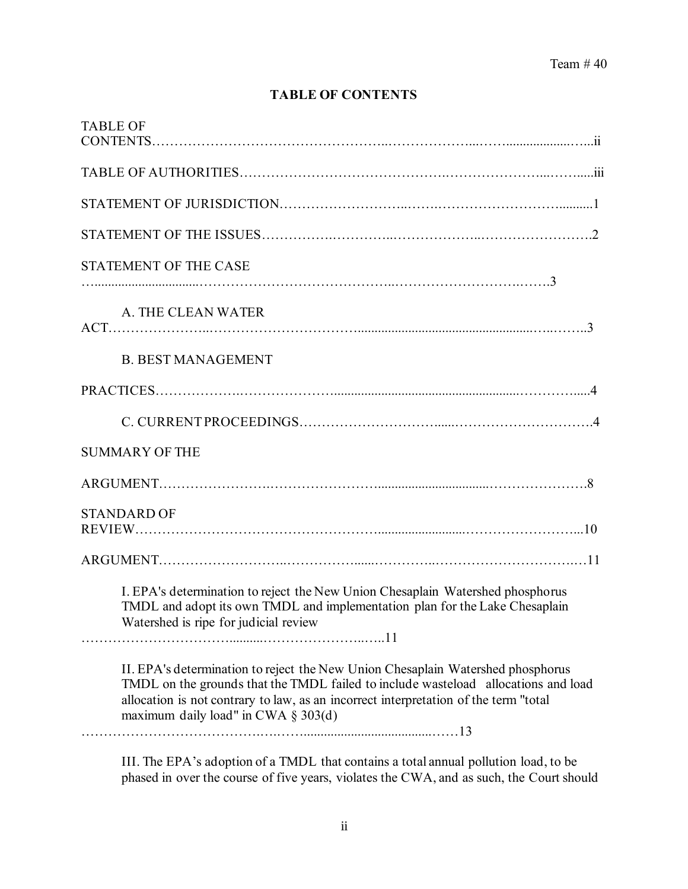# **TABLE OF CONTENTS**

| <b>TABLE OF</b>                                                                                                                                                                                                                                                                                      |
|------------------------------------------------------------------------------------------------------------------------------------------------------------------------------------------------------------------------------------------------------------------------------------------------------|
|                                                                                                                                                                                                                                                                                                      |
|                                                                                                                                                                                                                                                                                                      |
|                                                                                                                                                                                                                                                                                                      |
| <b>STATEMENT OF THE CASE</b>                                                                                                                                                                                                                                                                         |
| A. THE CLEAN WATER                                                                                                                                                                                                                                                                                   |
| <b>B. BEST MANAGEMENT</b>                                                                                                                                                                                                                                                                            |
|                                                                                                                                                                                                                                                                                                      |
|                                                                                                                                                                                                                                                                                                      |
| <b>SUMMARY OF THE</b>                                                                                                                                                                                                                                                                                |
|                                                                                                                                                                                                                                                                                                      |
| <b>STANDARD OF</b>                                                                                                                                                                                                                                                                                   |
|                                                                                                                                                                                                                                                                                                      |
| I. EPA's determination to reject the New Union Chesaplain Watershed phosphorus<br>TMDL and adopt its own TMDL and implementation plan for the Lake Chesaplain<br>Watershed is ripe for judicial review                                                                                               |
| II. EPA's determination to reject the New Union Chesaplain Watershed phosphorus<br>TMDL on the grounds that the TMDL failed to include wasteload allocations and load<br>allocation is not contrary to law, as an incorrect interpretation of the term "total<br>maximum daily load" in CWA § 303(d) |
| III. The EPA's adoption of a TMDL that contains a total annual pollution load, to be                                                                                                                                                                                                                 |

phased in over the course of five years, violates the CWA, and as such, the Court should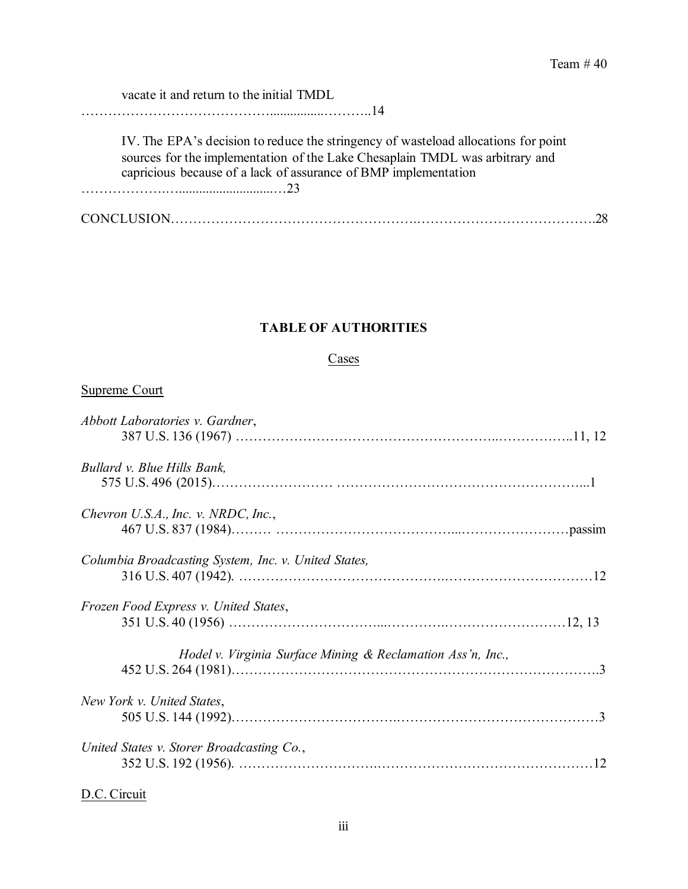vacate it and return to the initial TMDL

……………………………………................………..14

IV. The EPA's decision to reduce the stringency of wasteload allocations for point sources for the implementation of the Lake Chesaplain TMDL was arbitrary and capricious because of a lack of assurance of BMP implementation ……………….…............................…23

|--|

## **TABLE OF AUTHORITIES**

## Cases

## Supreme Court

| Abbott Laboratories v. Gardner,                             |  |
|-------------------------------------------------------------|--|
| Bullard v. Blue Hills Bank,                                 |  |
| Chevron U.S.A., Inc. v. NRDC, Inc.,                         |  |
| Columbia Broadcasting System, Inc. v. United States,        |  |
| Frozen Food Express v. United States,                       |  |
| Hodel v. Virginia Surface Mining & Reclamation Ass'n, Inc., |  |
| New York v. United States,                                  |  |
| United States v. Storer Broadcasting Co.,                   |  |
|                                                             |  |

# D.C. Circuit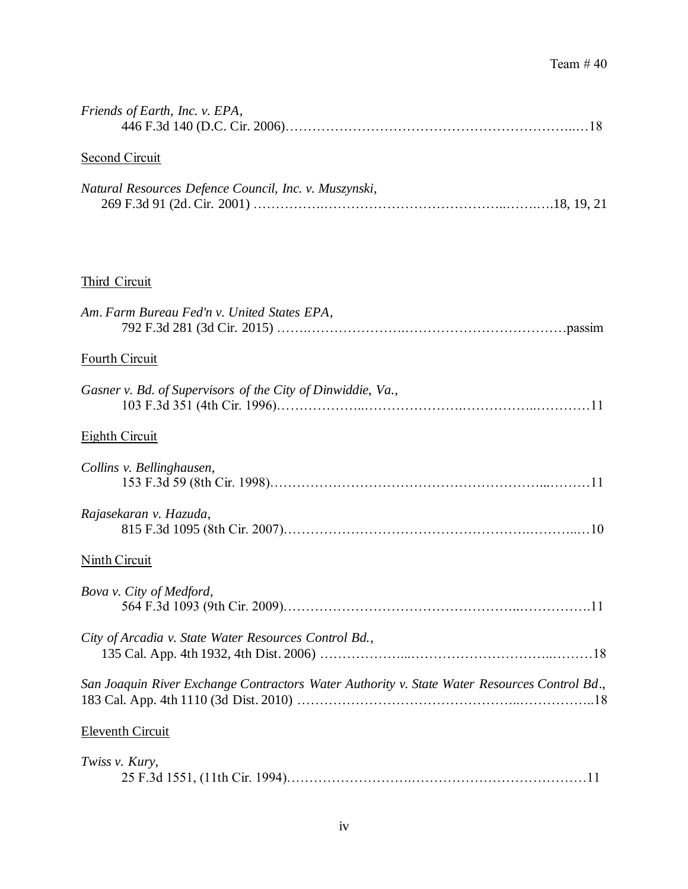| Friends of Earth, Inc. v. EPA,                                                               |
|----------------------------------------------------------------------------------------------|
| <b>Second Circuit</b>                                                                        |
| Natural Resources Defence Council, Inc. v. Muszynski,                                        |
| Third Circuit                                                                                |
|                                                                                              |
| Am. Farm Bureau Fed'n v. United States EPA,                                                  |
| Fourth Circuit                                                                               |
| Gasner v. Bd. of Supervisors of the City of Dinwiddie, Va.,                                  |
| Eighth Circuit                                                                               |
| Collins v. Bellinghausen,                                                                    |
| Rajasekaran v. Hazuda,                                                                       |
| Ninth Circuit                                                                                |
| Bova v. City of Medford,<br>564 F.3d 1093 (9th Cir. 2009).<br>.11                            |
| City of Arcadia v. State Water Resources Control Bd.,                                        |
| San Joaquin River Exchange Contractors Water Authority v. State Water Resources Control Bd., |
| <b>Eleventh Circuit</b>                                                                      |
| Twiss v. Kury,                                                                               |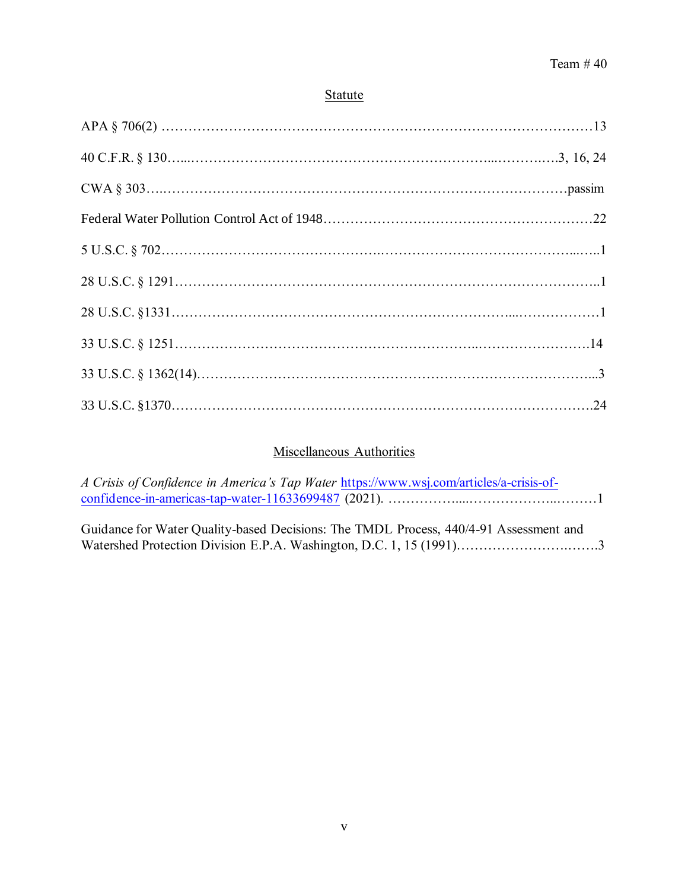# **Statute**

| $33 \text{ U.S.C.} \S 1362(14) \dots 3$ |  |
|-----------------------------------------|--|
|                                         |  |

# Miscellaneous Authorities

| A Crisis of Confidence in America's Tap Water https://www.wsj.com/articles/a-crisis-of- |
|-----------------------------------------------------------------------------------------|
|                                                                                         |
| Guidance for Water Quality-based Decisions: The TMDL Process, 440/4-91 Assessment and   |
|                                                                                         |
|                                                                                         |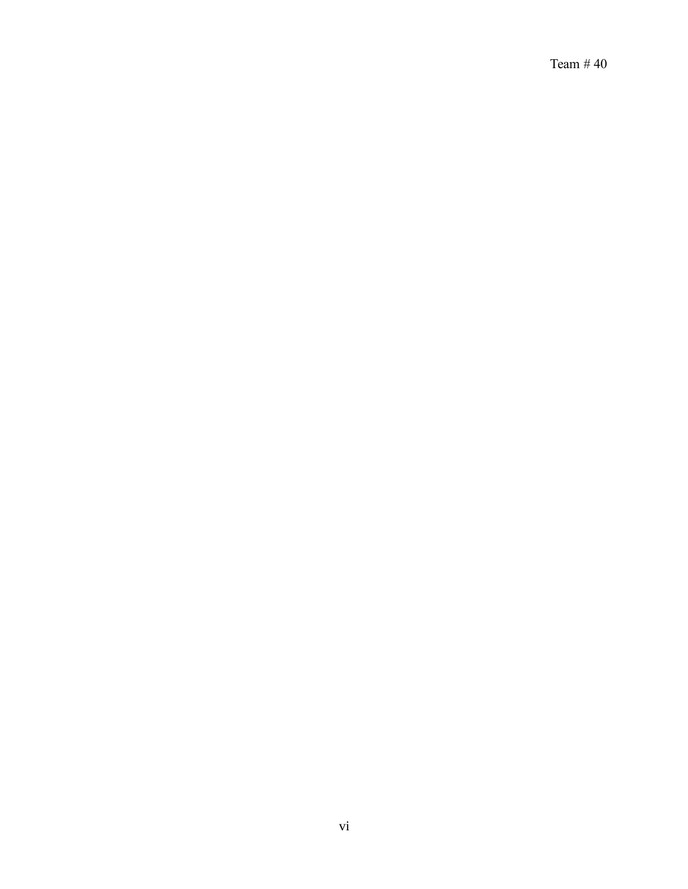Team  $#40$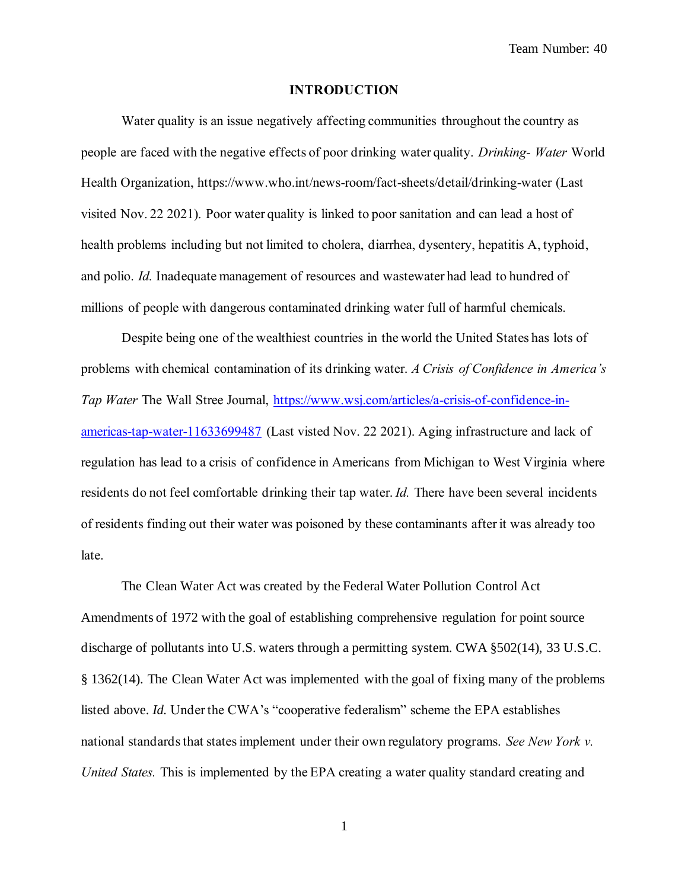Team Number: 40

#### **INTRODUCTION**

Water quality is an issue negatively affecting communities throughout the country as people are faced with the negative effects of poor drinking water quality. *Drinking- Water* World Health Organization, https://www.who.int/news-room/fact-sheets/detail/drinking-water (Last visited Nov. 22 2021). Poor water quality is linked to poor sanitation and can lead a host of health problems including but not limited to cholera, diarrhea, dysentery, hepatitis A, typhoid, and polio. *Id.* Inadequate management of resources and wastewater had lead to hundred of millions of people with dangerous contaminated drinking water full of harmful chemicals.

Despite being one of the wealthiest countries in the world the United States has lots of problems with chemical contamination of its drinking water. *A Crisis of Confidence in America's Tap Water* The Wall Stree Journal, https://www.wsj.com/articles/a-crisis-of-confidence-inamericas-tap-water-11633699487 (Last visted Nov. 22 2021). Aging infrastructure and lack of regulation has lead to a crisis of confidence in Americans from Michigan to West Virginia where residents do not feel comfortable drinking their tap water. *Id.* There have been several incidents of residents finding out their water was poisoned by these contaminants after it was already too late.

The Clean Water Act was created by the Federal Water Pollution Control Act Amendments of 1972 with the goal of establishing comprehensive regulation for point source discharge of pollutants into U.S. waters through a permitting system. CWA §502(14), 33 U.S.C. § 1362(14). The Clean Water Act was implemented with the goal of fixing many of the problems listed above. *Id.* Under the CWA's "cooperative federalism" scheme the EPA establishes national standards that states implement under their own regulatory programs. *See New York v. United States.* This is implemented by the EPA creating a water quality standard creating and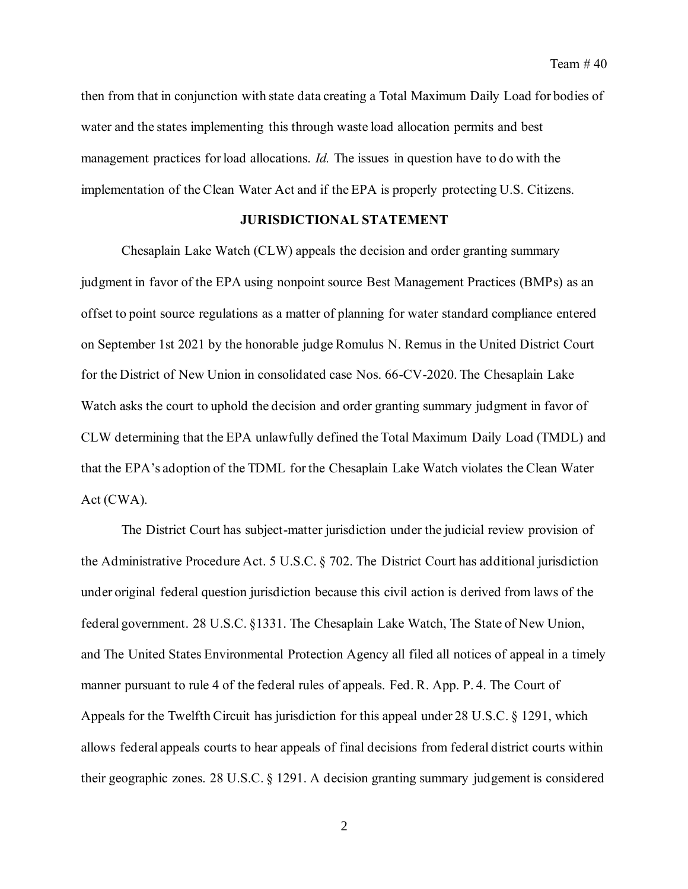then from that in conjunction with state data creating a Total Maximum Daily Load for bodies of water and the states implementing this through waste load allocation permits and best management practices for load allocations. *Id.* The issues in question have to do with the implementation of the Clean Water Act and if the EPA is properly protecting U.S. Citizens.

## **JURISDICTIONAL STATEMENT**

Chesaplain Lake Watch (CLW) appeals the decision and order granting summary judgment in favor of the EPA using nonpoint source Best Management Practices (BMPs) as an offset to point source regulations as a matter of planning for water standard compliance entered on September 1st 2021 by the honorable judge Romulus N. Remus in the United District Court for the District of New Union in consolidated case Nos. 66-CV-2020. The Chesaplain Lake Watch asks the court to uphold the decision and order granting summary judgment in favor of CLW determining that the EPA unlawfully defined the Total Maximum Daily Load (TMDL) and that the EPA's adoption of the TDML for the Chesaplain Lake Watch violates the Clean Water Act (CWA).

The District Court has subject-matter jurisdiction under the judicial review provision of the Administrative Procedure Act. 5 U.S.C. § 702. The District Court has additional jurisdiction under original federal question jurisdiction because this civil action is derived from laws of the federal government. 28 U.S.C. §1331. The Chesaplain Lake Watch, The State of New Union, and The United States Environmental Protection Agency all filed all notices of appeal in a timely manner pursuant to rule 4 of the federal rules of appeals. Fed. R. App. P. 4. The Court of Appeals for the Twelfth Circuit has jurisdiction for this appeal under 28 U.S.C. § 1291, which allows federal appeals courts to hear appeals of final decisions from federal district courts within their geographic zones. 28 U.S.C. § 1291. A decision granting summary judgement is considered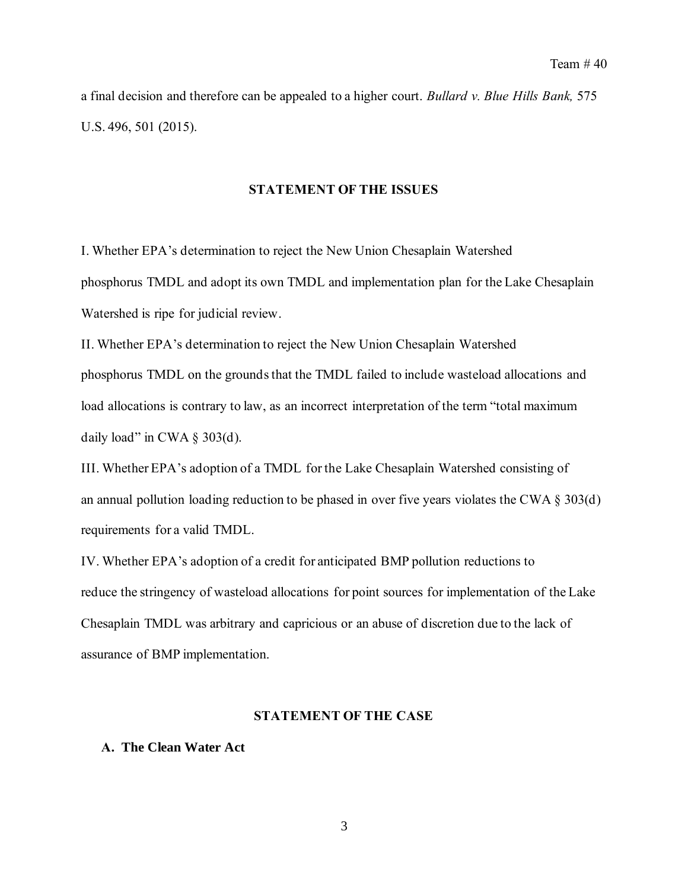a final decision and therefore can be appealed to a higher court. *Bullard v. Blue Hills Bank,* 575 U.S. 496, 501 (2015).

## **STATEMENT OF THE ISSUES**

I. Whether EPA's determination to reject the New Union Chesaplain Watershed phosphorus TMDL and adopt its own TMDL and implementation plan for the Lake Chesaplain Watershed is ripe for judicial review.

II. Whether EPA's determination to reject the New Union Chesaplain Watershed phosphorus TMDL on the grounds that the TMDL failed to include wasteload allocations and load allocations is contrary to law, as an incorrect interpretation of the term "total maximum daily load" in CWA  $\S$  303(d).

III. Whether EPA's adoption of a TMDL for the Lake Chesaplain Watershed consisting of an annual pollution loading reduction to be phased in over five years violates the CWA § 303(d) requirements for a valid TMDL.

IV. Whether EPA's adoption of a credit for anticipated BMP pollution reductions to reduce the stringency of wasteload allocations for point sources for implementation of the Lake Chesaplain TMDL was arbitrary and capricious or an abuse of discretion due to the lack of assurance of BMP implementation.

#### **STATEMENT OF THE CASE**

## **A. The Clean Water Act**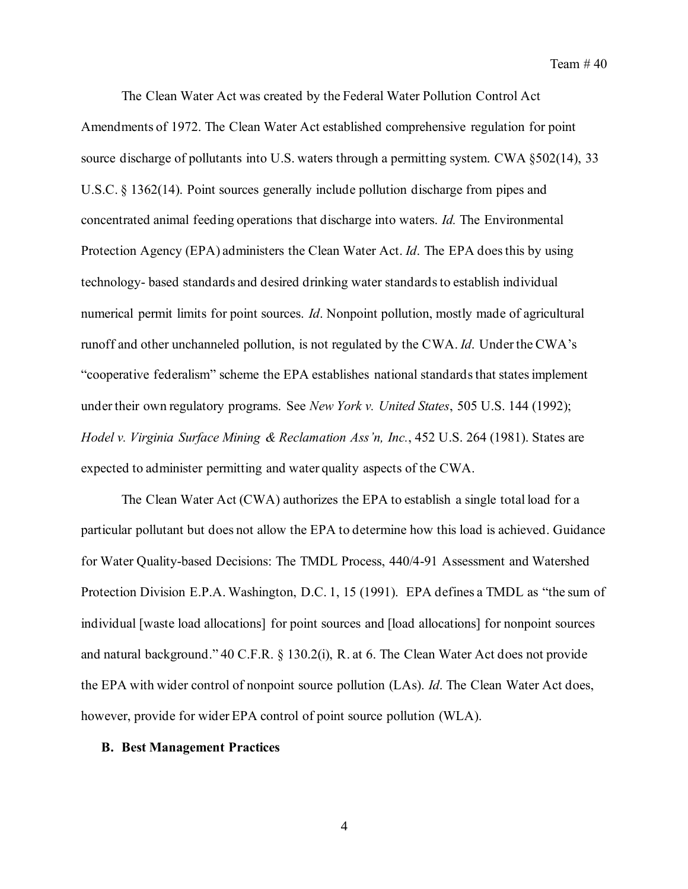The Clean Water Act was created by the Federal Water Pollution Control Act Amendments of 1972. The Clean Water Act established comprehensive regulation for point source discharge of pollutants into U.S. waters through a permitting system. CWA §502(14), 33 U.S.C. § 1362(14). Point sources generally include pollution discharge from pipes and concentrated animal feeding operations that discharge into waters. *Id.* The Environmental Protection Agency (EPA) administers the Clean Water Act. *Id*. The EPA does this by using technology- based standards and desired drinking water standards to establish individual numerical permit limits for point sources. *Id*. Nonpoint pollution, mostly made of agricultural runoff and other unchanneled pollution, is not regulated by the CWA. *Id*. Under the CWA's "cooperative federalism" scheme the EPA establishes national standards that states implement under their own regulatory programs. See *New York v. United States*, 505 U.S. 144 (1992); *Hodel v. Virginia Surface Mining & Reclamation Ass'n, Inc.*, 452 U.S. 264 (1981). States are expected to administer permitting and water quality aspects of the CWA.

The Clean Water Act (CWA) authorizes the EPA to establish a single total load for a particular pollutant but does not allow the EPA to determine how this load is achieved. Guidance for Water Quality-based Decisions: The TMDL Process, 440/4-91 Assessment and Watershed Protection Division E.P.A. Washington, D.C. 1, 15 (1991). EPA defines a TMDL as "the sum of individual [waste load allocations] for point sources and [load allocations] for nonpoint sources and natural background." 40 C.F.R. § 130.2(i), R. at 6. The Clean Water Act does not provide the EPA with wider control of nonpoint source pollution (LAs). *Id*. The Clean Water Act does, however, provide for wider EPA control of point source pollution (WLA).

## **B. Best Management Practices**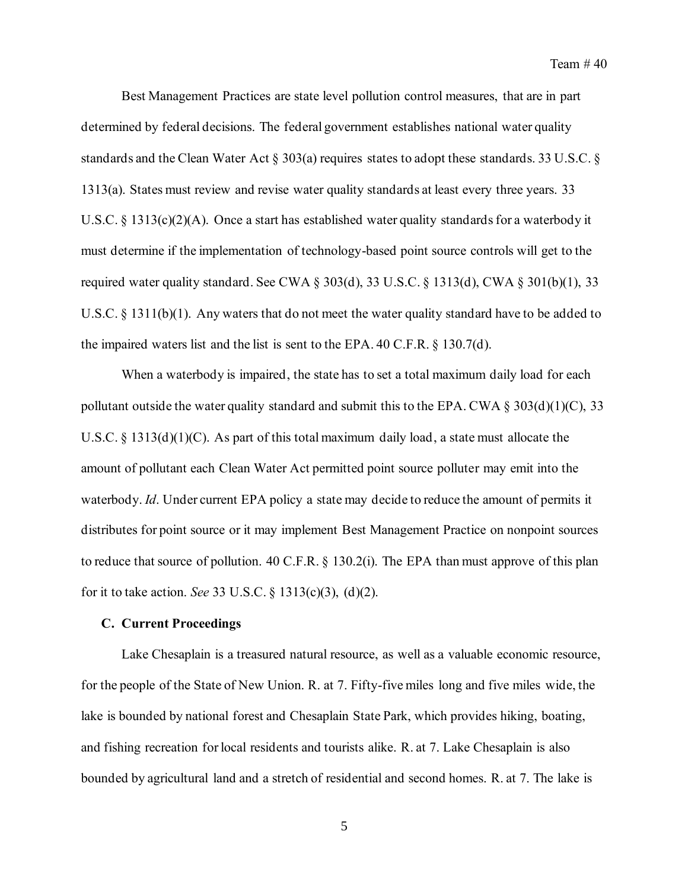Best Management Practices are state level pollution control measures, that are in part determined by federal decisions. The federal government establishes national water quality standards and the Clean Water Act § 303(a) requires states to adopt these standards. 33 U.S.C. § 1313(a). States must review and revise water quality standards at least every three years. 33 U.S.C. § 1313(c)(2)(A). Once a start has established water quality standards for a waterbody it must determine if the implementation of technology-based point source controls will get to the required water quality standard. See CWA § 303(d), 33 U.S.C. § 1313(d), CWA § 301(b)(1), 33 U.S.C. § 1311(b)(1). Any waters that do not meet the water quality standard have to be added to the impaired waters list and the list is sent to the EPA. 40 C.F.R. § 130.7(d).

When a waterbody is impaired, the state has to set a total maximum daily load for each pollutant outside the water quality standard and submit this to the EPA. CWA  $\S 303(d)(1)(C)$ , 33 U.S.C. § 1313(d)(1)(C). As part of this total maximum daily load, a state must allocate the amount of pollutant each Clean Water Act permitted point source polluter may emit into the waterbody. *Id*. Under current EPA policy a state may decide to reduce the amount of permits it distributes for point source or it may implement Best Management Practice on nonpoint sources to reduce that source of pollution. 40 C.F.R. § 130.2(i). The EPA than must approve of this plan for it to take action. *See* 33 U.S.C. § 1313(c)(3), (d)(2).

## **C. Current Proceedings**

Lake Chesaplain is a treasured natural resource, as well as a valuable economic resource, for the people of the State of New Union. R. at 7. Fifty-five miles long and five miles wide, the lake is bounded by national forest and Chesaplain State Park, which provides hiking, boating, and fishing recreation for local residents and tourists alike. R. at 7. Lake Chesaplain is also bounded by agricultural land and a stretch of residential and second homes. R. at 7. The lake is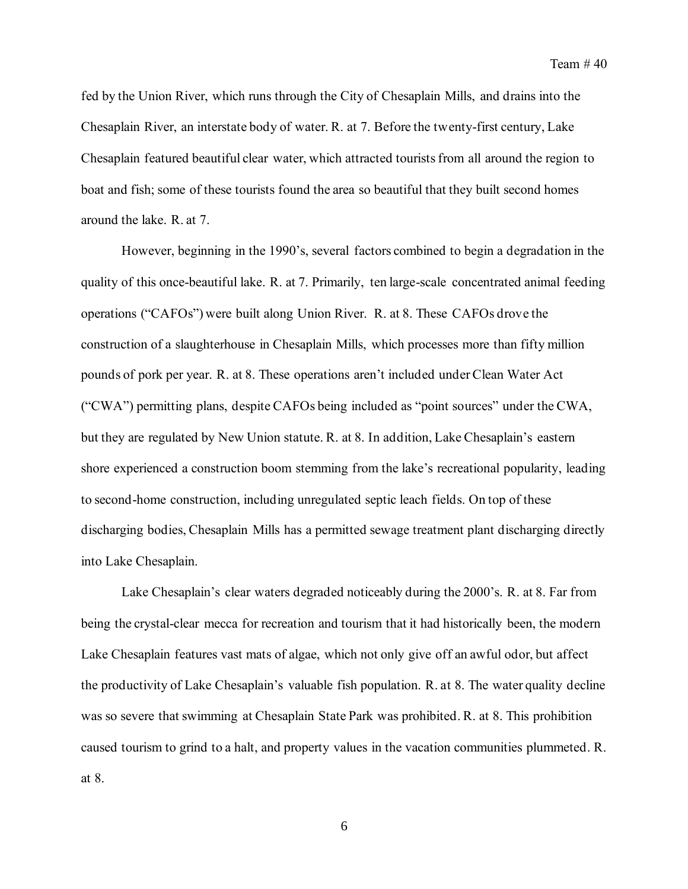fed by the Union River, which runs through the City of Chesaplain Mills, and drains into the Chesaplain River, an interstate body of water. R. at 7. Before the twenty-first century, Lake Chesaplain featured beautiful clear water, which attracted tourists from all around the region to boat and fish; some of these tourists found the area so beautiful that they built second homes around the lake. R. at 7.

However, beginning in the 1990's, several factors combined to begin a degradation in the quality of this once-beautiful lake. R. at 7. Primarily, ten large-scale concentrated animal feeding operations ("CAFOs") were built along Union River. R. at 8. These CAFOs drove the construction of a slaughterhouse in Chesaplain Mills, which processes more than fifty million pounds of pork per year. R. at 8. These operations aren't included under Clean Water Act ("CWA") permitting plans, despite CAFOs being included as "point sources" under the CWA, but they are regulated by New Union statute. R. at 8. In addition, Lake Chesaplain's eastern shore experienced a construction boom stemming from the lake's recreational popularity, leading to second-home construction, including unregulated septic leach fields. On top of these discharging bodies, Chesaplain Mills has a permitted sewage treatment plant discharging directly into Lake Chesaplain.

Lake Chesaplain's clear waters degraded noticeably during the 2000's. R. at 8. Far from being the crystal-clear mecca for recreation and tourism that it had historically been, the modern Lake Chesaplain features vast mats of algae, which not only give off an awful odor, but affect the productivity of Lake Chesaplain's valuable fish population. R. at 8. The water quality decline was so severe that swimming at Chesaplain State Park was prohibited. R. at 8. This prohibition caused tourism to grind to a halt, and property values in the vacation communities plummeted. R. at 8.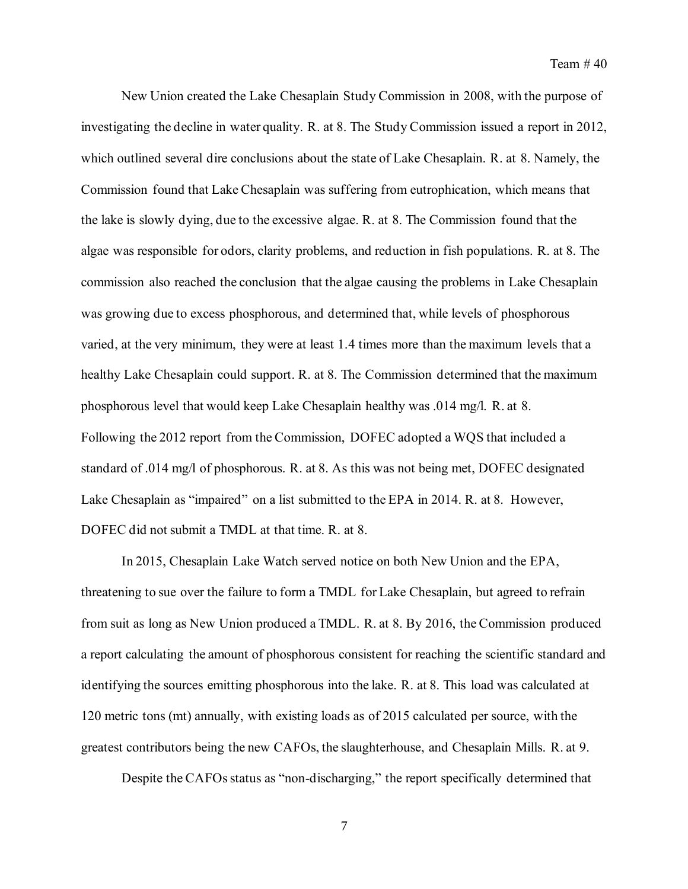New Union created the Lake Chesaplain Study Commission in 2008, with the purpose of investigating the decline in water quality. R. at 8. The Study Commission issued a report in 2012, which outlined several dire conclusions about the state of Lake Chesaplain. R. at 8. Namely, the Commission found that Lake Chesaplain was suffering from eutrophication, which means that the lake is slowly dying, due to the excessive algae. R. at 8. The Commission found that the algae was responsible for odors, clarity problems, and reduction in fish populations. R. at 8. The commission also reached the conclusion that the algae causing the problems in Lake Chesaplain was growing due to excess phosphorous, and determined that, while levels of phosphorous varied, at the very minimum, they were at least 1.4 times more than the maximum levels that a healthy Lake Chesaplain could support. R. at 8. The Commission determined that the maximum phosphorous level that would keep Lake Chesaplain healthy was .014 mg/l. R. at 8. Following the 2012 report from the Commission, DOFEC adopted a WQS that included a standard of .014 mg/l of phosphorous. R. at 8. As this was not being met, DOFEC designated Lake Chesaplain as "impaired" on a list submitted to the EPA in 2014. R. at 8. However, DOFEC did not submit a TMDL at that time. R. at 8.

In 2015, Chesaplain Lake Watch served notice on both New Union and the EPA, threatening to sue over the failure to form a TMDL for Lake Chesaplain, but agreed to refrain from suit as long as New Union produced a TMDL. R. at 8. By 2016, the Commission produced a report calculating the amount of phosphorous consistent for reaching the scientific standard and identifying the sources emitting phosphorous into the lake. R. at 8. This load was calculated at 120 metric tons (mt) annually, with existing loads as of 2015 calculated per source, with the greatest contributors being the new CAFOs, the slaughterhouse, and Chesaplain Mills. R. at 9.

Despite the CAFOs status as "non-discharging," the report specifically determined that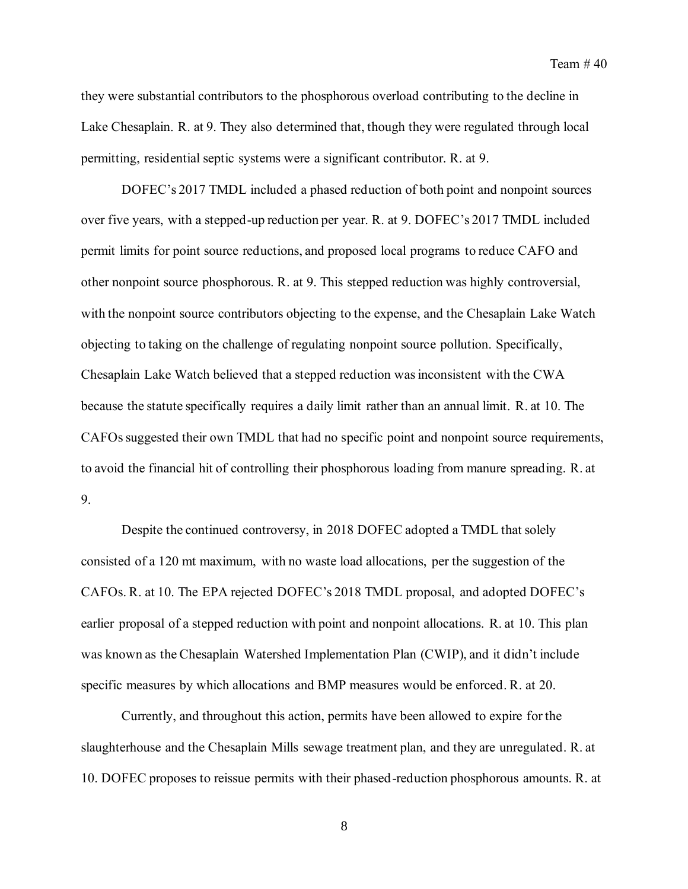they were substantial contributors to the phosphorous overload contributing to the decline in Lake Chesaplain. R. at 9. They also determined that, though they were regulated through local permitting, residential septic systems were a significant contributor. R. at 9.

DOFEC's 2017 TMDL included a phased reduction of both point and nonpoint sources over five years, with a stepped-up reduction per year. R. at 9. DOFEC's 2017 TMDL included permit limits for point source reductions, and proposed local programs to reduce CAFO and other nonpoint source phosphorous. R. at 9. This stepped reduction was highly controversial, with the nonpoint source contributors objecting to the expense, and the Chesaplain Lake Watch objecting to taking on the challenge of regulating nonpoint source pollution. Specifically, Chesaplain Lake Watch believed that a stepped reduction was inconsistent with the CWA because the statute specifically requires a daily limit rather than an annual limit. R. at 10. The CAFOs suggested their own TMDL that had no specific point and nonpoint source requirements, to avoid the financial hit of controlling their phosphorous loading from manure spreading. R. at 9.

Despite the continued controversy, in 2018 DOFEC adopted a TMDL that solely consisted of a 120 mt maximum, with no waste load allocations, per the suggestion of the CAFOs. R. at 10. The EPA rejected DOFEC's 2018 TMDL proposal, and adopted DOFEC's earlier proposal of a stepped reduction with point and nonpoint allocations. R. at 10. This plan was known as the Chesaplain Watershed Implementation Plan (CWIP), and it didn't include specific measures by which allocations and BMP measures would be enforced. R. at 20.

Currently, and throughout this action, permits have been allowed to expire for the slaughterhouse and the Chesaplain Mills sewage treatment plan, and they are unregulated. R. at 10. DOFEC proposes to reissue permits with their phased-reduction phosphorous amounts. R. at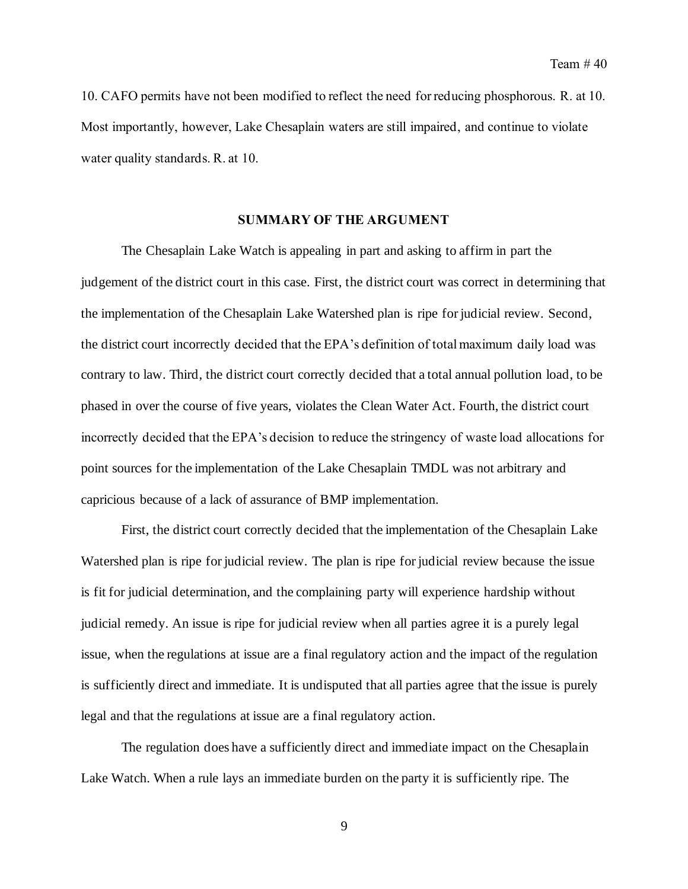10. CAFO permits have not been modified to reflect the need for reducing phosphorous. R. at 10. Most importantly, however, Lake Chesaplain waters are still impaired, and continue to violate water quality standards. R. at 10.

## **SUMMARY OF THE ARGUMENT**

The Chesaplain Lake Watch is appealing in part and asking to affirm in part the judgement of the district court in this case. First, the district court was correct in determining that the implementation of the Chesaplain Lake Watershed plan is ripe for judicial review. Second, the district court incorrectly decided that the EPA's definition of total maximum daily load was contrary to law. Third, the district court correctly decided that a total annual pollution load, to be phased in over the course of five years, violates the Clean Water Act. Fourth, the district court incorrectly decided that the EPA's decision to reduce the stringency of waste load allocations for point sources for the implementation of the Lake Chesaplain TMDL was not arbitrary and capricious because of a lack of assurance of BMP implementation.

First, the district court correctly decided that the implementation of the Chesaplain Lake Watershed plan is ripe for judicial review. The plan is ripe for judicial review because the issue is fit for judicial determination, and the complaining party will experience hardship without judicial remedy. An issue is ripe for judicial review when all parties agree it is a purely legal issue, when the regulations at issue are a final regulatory action and the impact of the regulation is sufficiently direct and immediate. It is undisputed that all parties agree that the issue is purely legal and that the regulations at issue are a final regulatory action.

The regulation does have a sufficiently direct and immediate impact on the Chesaplain Lake Watch. When a rule lays an immediate burden on the party it is sufficiently ripe. The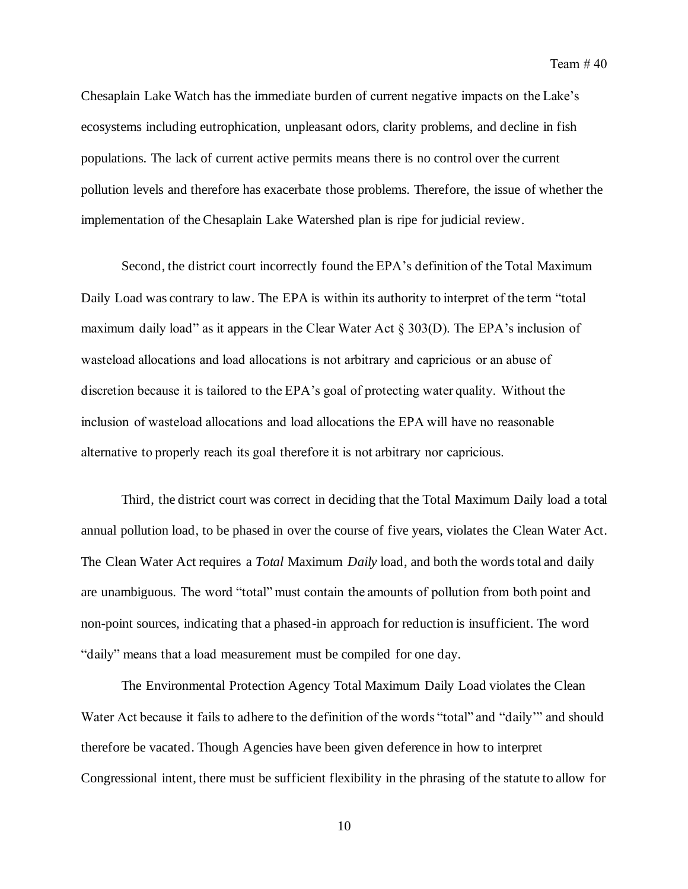Chesaplain Lake Watch has the immediate burden of current negative impacts on the Lake's ecosystems including eutrophication, unpleasant odors, clarity problems, and decline in fish populations. The lack of current active permits means there is no control over the current pollution levels and therefore has exacerbate those problems. Therefore, the issue of whether the implementation of the Chesaplain Lake Watershed plan is ripe for judicial review.

Second, the district court incorrectly found the EPA's definition of the Total Maximum Daily Load was contrary to law. The EPA is within its authority to interpret of the term "total maximum daily load" as it appears in the Clear Water Act  $\S 303(D)$ . The EPA's inclusion of wasteload allocations and load allocations is not arbitrary and capricious or an abuse of discretion because it is tailored to the EPA's goal of protecting water quality. Without the inclusion of wasteload allocations and load allocations the EPA will have no reasonable alternative to properly reach its goal therefore it is not arbitrary nor capricious.

Third, the district court was correct in deciding that the Total Maximum Daily load a total annual pollution load, to be phased in over the course of five years, violates the Clean Water Act. The Clean Water Act requires a *Total* Maximum *Daily* load, and both the words total and daily are unambiguous. The word "total" must contain the amounts of pollution from both point and non-point sources, indicating that a phased-in approach for reduction is insufficient. The word "daily" means that a load measurement must be compiled for one day.

The Environmental Protection Agency Total Maximum Daily Load violates the Clean Water Act because it fails to adhere to the definition of the words "total" and "daily'" and should therefore be vacated. Though Agencies have been given deference in how to interpret Congressional intent, there must be sufficient flexibility in the phrasing of the statute to allow for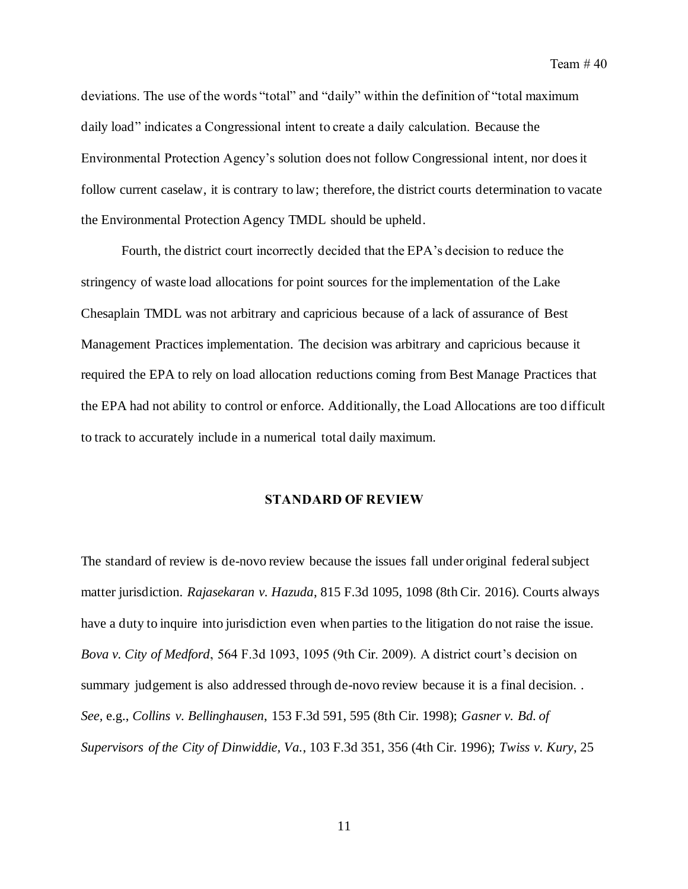deviations. The use of the words "total" and "daily" within the definition of "total maximum daily load" indicates a Congressional intent to create a daily calculation. Because the Environmental Protection Agency's solution does not follow Congressional intent, nor does it follow current caselaw, it is contrary to law; therefore, the district courts determination to vacate the Environmental Protection Agency TMDL should be upheld.

Fourth, the district court incorrectly decided that the EPA's decision to reduce the stringency of waste load allocations for point sources for the implementation of the Lake Chesaplain TMDL was not arbitrary and capricious because of a lack of assurance of Best Management Practices implementation. The decision was arbitrary and capricious because it required the EPA to rely on load allocation reductions coming from Best Manage Practices that the EPA had not ability to control or enforce. Additionally, the Load Allocations are too difficult to track to accurately include in a numerical total daily maximum.

## **STANDARD OF REVIEW**

The standard of review is de-novo review because the issues fall under original federal subject matter jurisdiction. *Rajasekaran v. Hazuda*, 815 F.3d 1095, 1098 (8th Cir. 2016). Courts always have a duty to inquire into jurisdiction even when parties to the litigation do not raise the issue. *Bova v. City of Medford*, 564 F.3d 1093, 1095 (9th Cir. 2009). A district court's decision on summary judgement is also addressed through de-novo review because it is a final decision. . *See,* e.g., *Collins v. Bellinghausen*, 153 F.3d 591, 595 (8th Cir. 1998); *Gasner v. Bd. of Supervisors of the City of Dinwiddie, Va.*, 103 F.3d 351, 356 (4th Cir. 1996); *Twiss v. Kury*, 25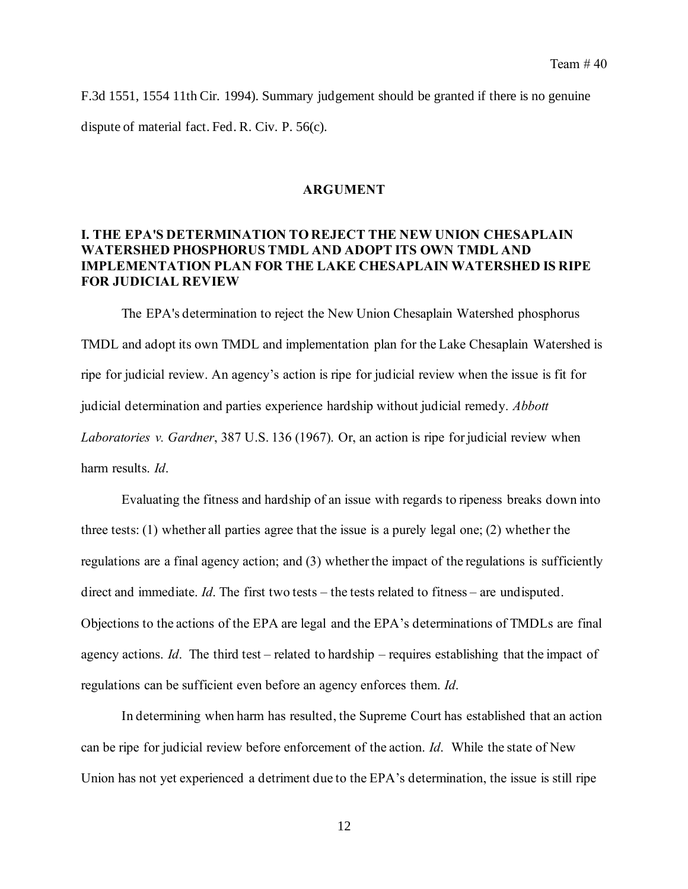F.3d 1551, 1554 11th Cir. 1994). Summary judgement should be granted if there is no genuine dispute of material fact. Fed. R. Civ. P. 56(c).

## **ARGUMENT**

## **I. THE EPA'S DETERMINATION TO REJECT THE NEW UNION CHESAPLAIN WATERSHED PHOSPHORUS TMDL AND ADOPT ITS OWN TMDL AND IMPLEMENTATION PLAN FOR THE LAKE CHESAPLAIN WATERSHED IS RIPE FOR JUDICIAL REVIEW**

The EPA's determination to reject the New Union Chesaplain Watershed phosphorus TMDL and adopt its own TMDL and implementation plan for the Lake Chesaplain Watershed is ripe for judicial review. An agency's action is ripe for judicial review when the issue is fit for judicial determination and parties experience hardship without judicial remedy. *Abbott Laboratories v. Gardner*, 387 U.S. 136 (1967). Or, an action is ripe for judicial review when harm results. *Id*.

 Evaluating the fitness and hardship of an issue with regards to ripeness breaks down into three tests: (1) whether all parties agree that the issue is a purely legal one; (2) whether the regulations are a final agency action; and (3) whether the impact of the regulations is sufficiently direct and immediate. *Id*. The first two tests – the tests related to fitness – are undisputed. Objections to the actions of the EPA are legal and the EPA's determinations of TMDLs are final agency actions. *Id*. The third test – related to hardship – requires establishing that the impact of regulations can be sufficient even before an agency enforces them. *Id*.

 In determining when harm has resulted, the Supreme Court has established that an action can be ripe for judicial review before enforcement of the action. *Id*. While the state of New Union has not yet experienced a detriment due to the EPA's determination, the issue is still ripe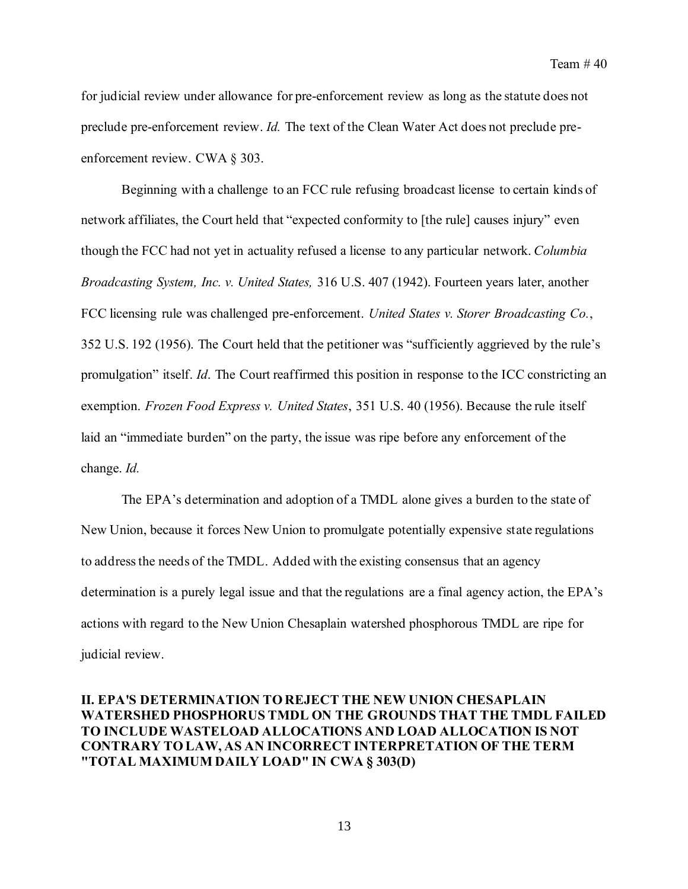for judicial review under allowance for pre-enforcement review as long as the statute does not preclude pre-enforcement review. *Id.* The text of the Clean Water Act does not preclude preenforcement review. CWA § 303.

 Beginning with a challenge to an FCC rule refusing broadcast license to certain kinds of network affiliates, the Court held that "expected conformity to [the rule] causes injury" even though the FCC had not yet in actuality refused a license to any particular network. *Columbia Broadcasting System, Inc. v. United States,* 316 U.S. 407 (1942). Fourteen years later, another FCC licensing rule was challenged pre-enforcement. *United States v. Storer Broadcasting Co.*, 352 U.S. 192 (1956). The Court held that the petitioner was "sufficiently aggrieved by the rule's promulgation" itself. *Id*. The Court reaffirmed this position in response to the ICC constricting an exemption. *Frozen Food Express v. United States*, 351 U.S. 40 (1956). Because the rule itself laid an "immediate burden" on the party, the issue was ripe before any enforcement of the change. *Id.*

The EPA's determination and adoption of a TMDL alone gives a burden to the state of New Union, because it forces New Union to promulgate potentially expensive state regulations to address the needs of the TMDL. Added with the existing consensus that an agency determination is a purely legal issue and that the regulations are a final agency action, the EPA's actions with regard to the New Union Chesaplain watershed phosphorous TMDL are ripe for judicial review.

## **II. EPA'S DETERMINATION TO REJECT THE NEW UNION CHESAPLAIN WATERSHED PHOSPHORUS TMDL ON THE GROUNDS THAT THE TMDL FAILED TO INCLUDE WASTELOAD ALLOCATIONS AND LOAD ALLOCATION IS NOT CONTRARY TO LAW, AS AN INCORRECT INTERPRETATION OF THE TERM "TOTAL MAXIMUM DAILY LOAD" IN CWA § 303(D)**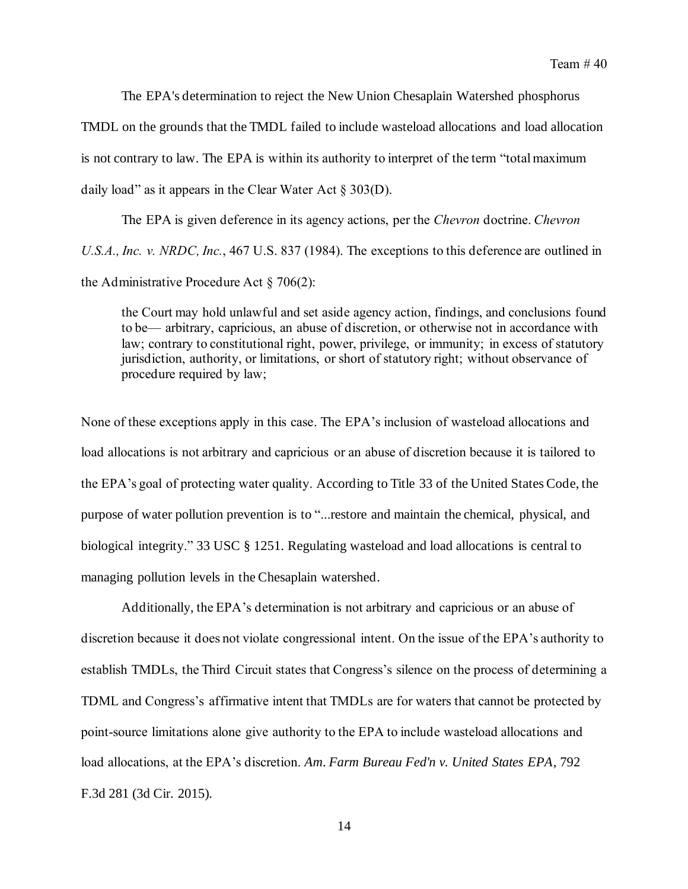The EPA's determination to reject the New Union Chesaplain Watershed phosphorus TMDL on the grounds that the TMDL failed to include wasteload allocations and load allocation is not contrary to law. The EPA is within its authority to interpret of the term "total maximum daily load" as it appears in the Clear Water Act § 303(D).

The EPA is given deference in its agency actions, per the *Chevron* doctrine. *Chevron U.S.A., Inc. v. NRDC, Inc.*, 467 U.S. 837 (1984). The exceptions to this deference are outlined in the Administrative Procedure Act § 706(2):

the Court may hold unlawful and set aside agency action, findings, and conclusions found to be— arbitrary, capricious, an abuse of discretion, or otherwise not in accordance with law; contrary to constitutional right, power, privilege, or immunity; in excess of statutory jurisdiction, authority, or limitations, or short of statutory right; without observance of procedure required by law;

None of these exceptions apply in this case. The EPA's inclusion of wasteload allocations and load allocations is not arbitrary and capricious or an abuse of discretion because it is tailored to the EPA's goal of protecting water quality. According to Title 33 of the United States Code, the purpose of water pollution prevention is to "...restore and maintain the chemical, physical, and biological integrity." 33 USC § 1251. Regulating wasteload and load allocations is central to managing pollution levels in the Chesaplain watershed.

Additionally, the EPA's determination is not arbitrary and capricious or an abuse of discretion because it does not violate congressional intent. On the issue of the EPA's authority to establish TMDLs, the Third Circuit states that Congress's silence on the process of determining a TDML and Congress's affirmative intent that TMDLs are for waters that cannot be protected by point-source limitations alone give authority to the EPA to include wasteload allocations and load allocations, at the EPA's discretion. *Am. Farm Bureau Fed'n v. United States EPA*, 792 F.3d 281 (3d Cir. 2015).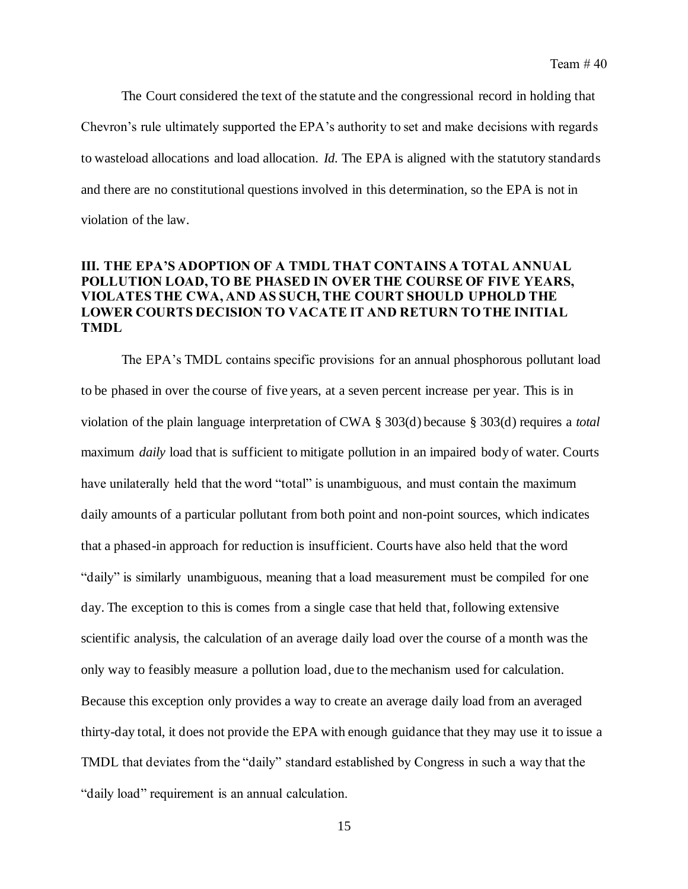The Court considered the text of the statute and the congressional record in holding that Chevron's rule ultimately supported the EPA's authority to set and make decisions with regards to wasteload allocations and load allocation. *Id.* The EPA is aligned with the statutory standards and there are no constitutional questions involved in this determination, so the EPA is not in violation of the law.

## **III. THE EPA'S ADOPTION OF A TMDL THAT CONTAINS A TOTAL ANNUAL POLLUTION LOAD, TO BE PHASED IN OVER THE COURSE OF FIVE YEARS, VIOLATES THE CWA, AND AS SUCH, THE COURT SHOULD UPHOLD THE LOWER COURTS DECISION TO VACATE IT AND RETURN TO THE INITIAL TMDL**

The EPA's TMDL contains specific provisions for an annual phosphorous pollutant load to be phased in over the course of five years, at a seven percent increase per year. This is in violation of the plain language interpretation of CWA § 303(d) because § 303(d) requires a *total* maximum *daily* load that is sufficient to mitigate pollution in an impaired body of water. Courts have unilaterally held that the word "total" is unambiguous, and must contain the maximum daily amounts of a particular pollutant from both point and non-point sources, which indicates that a phased-in approach for reduction is insufficient. Courts have also held that the word "daily" is similarly unambiguous, meaning that a load measurement must be compiled for one day. The exception to this is comes from a single case that held that, following extensive scientific analysis, the calculation of an average daily load over the course of a month was the only way to feasibly measure a pollution load, due to the mechanism used for calculation. Because this exception only provides a way to create an average daily load from an averaged thirty-day total, it does not provide the EPA with enough guidance that they may use it to issue a TMDL that deviates from the "daily" standard established by Congress in such a way that the "daily load" requirement is an annual calculation.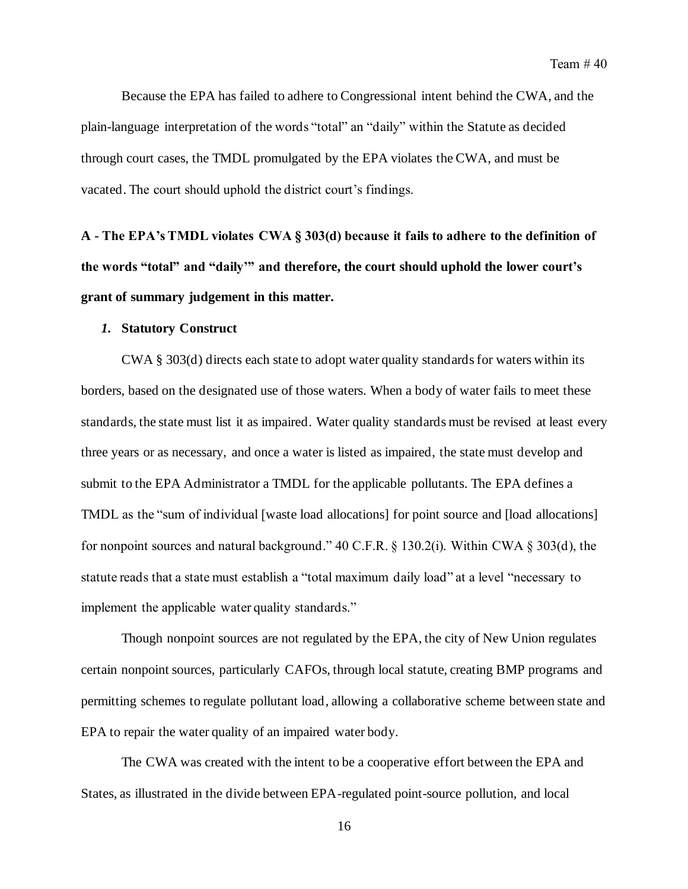Because the EPA has failed to adhere to Congressional intent behind the CWA, and the plain-language interpretation of the words "total" an "daily" within the Statute as decided through court cases, the TMDL promulgated by the EPA violates the CWA, and must be vacated. The court should uphold the district court's findings.

**A - The EPA's TMDL violates CWA § 303(d) because it fails to adhere to the definition of the words "total" and "daily'" and therefore, the court should uphold the lower court's grant of summary judgement in this matter.**

## *1.* **Statutory Construct**

CWA § 303(d) directs each state to adopt water quality standards for waters within its borders, based on the designated use of those waters. When a body of water fails to meet these standards, the state must list it as impaired. Water quality standards must be revised at least every three years or as necessary, and once a water is listed as impaired, the state must develop and submit to the EPA Administrator a TMDL for the applicable pollutants. The EPA defines a TMDL as the "sum of individual [waste load allocations] for point source and [load allocations] for nonpoint sources and natural background." 40 C.F.R. § 130.2(i). Within CWA § 303(d), the statute reads that a state must establish a "total maximum daily load" at a level "necessary to implement the applicable water quality standards."

Though nonpoint sources are not regulated by the EPA, the city of New Union regulates certain nonpoint sources, particularly CAFOs, through local statute, creating BMP programs and permitting schemes to regulate pollutant load, allowing a collaborative scheme between state and EPA to repair the water quality of an impaired water body.

The CWA was created with the intent to be a cooperative effort between the EPA and States, as illustrated in the divide between EPA-regulated point-source pollution, and local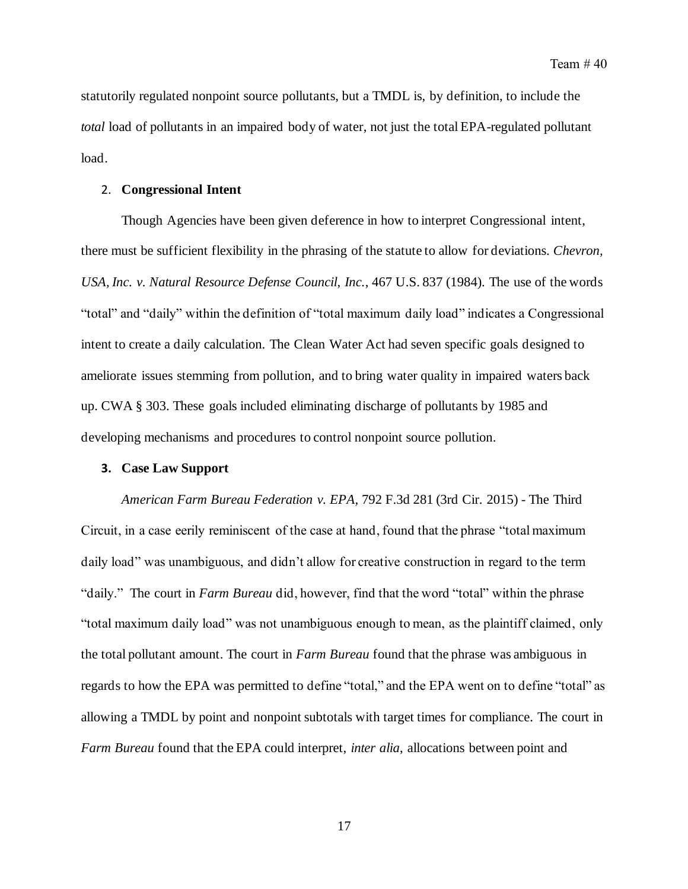statutorily regulated nonpoint source pollutants, but a TMDL is, by definition, to include the *total* load of pollutants in an impaired body of water, not just the total EPA-regulated pollutant load.

## 2. **Congressional Intent**

Though Agencies have been given deference in how to interpret Congressional intent, there must be sufficient flexibility in the phrasing of the statute to allow for deviations. *Chevron, USA, Inc. v. Natural Resource Defense Council, Inc.*, 467 U.S. 837 (1984). The use of the words "total" and "daily" within the definition of "total maximum daily load" indicates a Congressional intent to create a daily calculation. The Clean Water Act had seven specific goals designed to ameliorate issues stemming from pollution, and to bring water quality in impaired waters back up. CWA § 303. These goals included eliminating discharge of pollutants by 1985 and developing mechanisms and procedures to control nonpoint source pollution.

## **3. Case Law Support**

*American Farm Bureau Federation v. EPA,* 792 F.3d 281 (3rd Cir. 2015) - The Third Circuit, in a case eerily reminiscent of the case at hand, found that the phrase "total maximum daily load" was unambiguous, and didn't allow for creative construction in regard to the term "daily." The court in *Farm Bureau* did, however, find that the word "total" within the phrase "total maximum daily load" was not unambiguous enough to mean, as the plaintiff claimed, only the total pollutant amount. The court in *Farm Bureau* found that the phrase was ambiguous in regards to how the EPA was permitted to define "total," and the EPA went on to define "total" as allowing a TMDL by point and nonpoint subtotals with target times for compliance. The court in *Farm Bureau* found that the EPA could interpret, *inter alia*, allocations between point and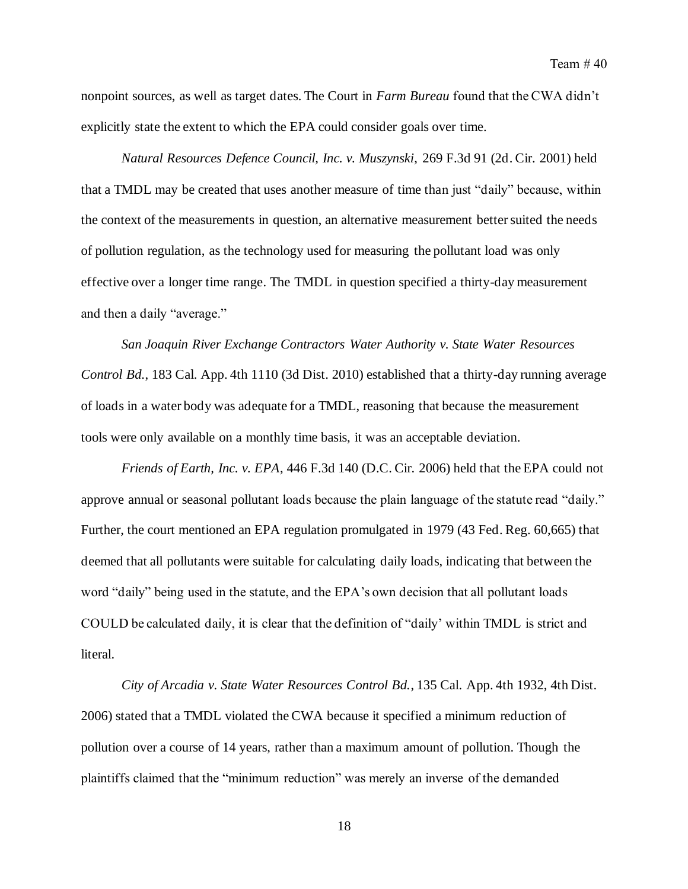nonpoint sources, as well as target dates. The Court in *Farm Bureau* found that the CWA didn't explicitly state the extent to which the EPA could consider goals over time.

*Natural Resources Defence Council, Inc. v. Muszynski*, 269 F.3d 91 (2d. Cir. 2001) held that a TMDL may be created that uses another measure of time than just "daily" because, within the context of the measurements in question, an alternative measurement better suited the needs of pollution regulation, as the technology used for measuring the pollutant load was only effective over a longer time range. The TMDL in question specified a thirty-day measurement and then a daily "average."

*San Joaquin River Exchange Contractors Water Authority v. State Water Resources Control Bd.*, 183 Cal. App. 4th 1110 (3d Dist. 2010) established that a thirty-day running average of loads in a water body was adequate for a TMDL, reasoning that because the measurement tools were only available on a monthly time basis, it was an acceptable deviation.

*Friends of Earth, Inc. v. EPA*, 446 F.3d 140 (D.C. Cir. 2006) held that the EPA could not approve annual or seasonal pollutant loads because the plain language of the statute read "daily." Further, the court mentioned an EPA regulation promulgated in 1979 (43 Fed. Reg. 60,665) that deemed that all pollutants were suitable for calculating daily loads, indicating that between the word "daily" being used in the statute, and the EPA's own decision that all pollutant loads COULD be calculated daily, it is clear that the definition of "daily' within TMDL is strict and literal.

*City of Arcadia v. State Water Resources Control Bd.*, 135 Cal. App. 4th 1932, 4th Dist. 2006) stated that a TMDL violated the CWA because it specified a minimum reduction of pollution over a course of 14 years, rather than a maximum amount of pollution. Though the plaintiffs claimed that the "minimum reduction" was merely an inverse of the demanded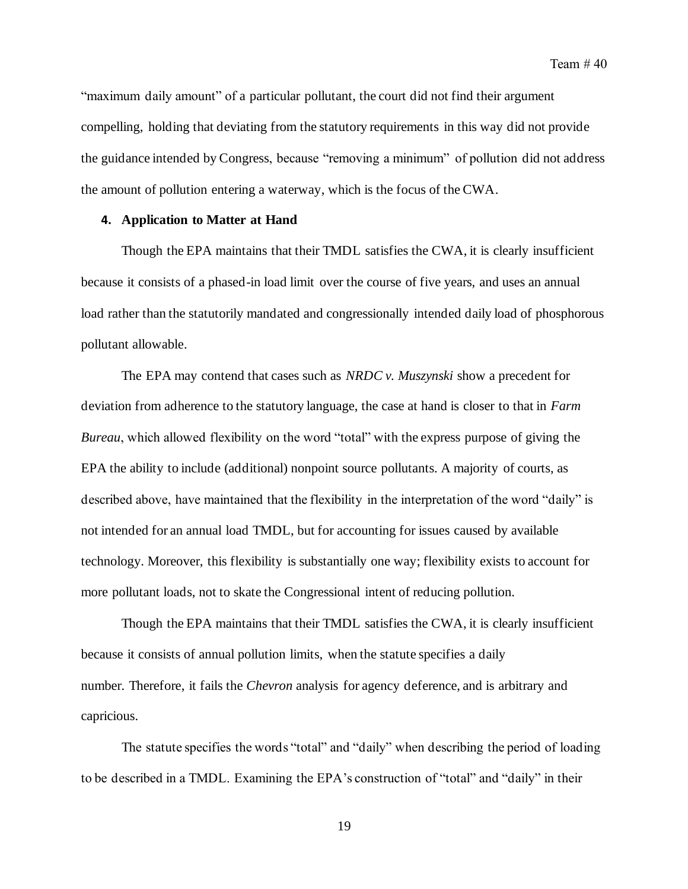"maximum daily amount" of a particular pollutant, the court did not find their argument compelling, holding that deviating from the statutory requirements in this way did not provide the guidance intended by Congress, because "removing a minimum" of pollution did not address the amount of pollution entering a waterway, which is the focus of the CWA.

#### **4. Application to Matter at Hand**

Though the EPA maintains that their TMDL satisfies the CWA, it is clearly insufficient because it consists of a phased-in load limit over the course of five years, and uses an annual load rather than the statutorily mandated and congressionally intended daily load of phosphorous pollutant allowable.

The EPA may contend that cases such as *NRDC v. Muszynski* show a precedent for deviation from adherence to the statutory language, the case at hand is closer to that in *Farm Bureau*, which allowed flexibility on the word "total" with the express purpose of giving the EPA the ability to include (additional) nonpoint source pollutants. A majority of courts, as described above, have maintained that the flexibility in the interpretation of the word "daily" is not intended for an annual load TMDL, but for accounting for issues caused by available technology. Moreover, this flexibility is substantially one way; flexibility exists to account for more pollutant loads, not to skate the Congressional intent of reducing pollution.

Though the EPA maintains that their TMDL satisfies the CWA, it is clearly insufficient because it consists of annual pollution limits, when the statute specifies a daily number. Therefore, it fails the *Chevron* analysis for agency deference, and is arbitrary and capricious.

The statute specifies the words "total" and "daily" when describing the period of loading to be described in a TMDL. Examining the EPA's construction of "total" and "daily" in their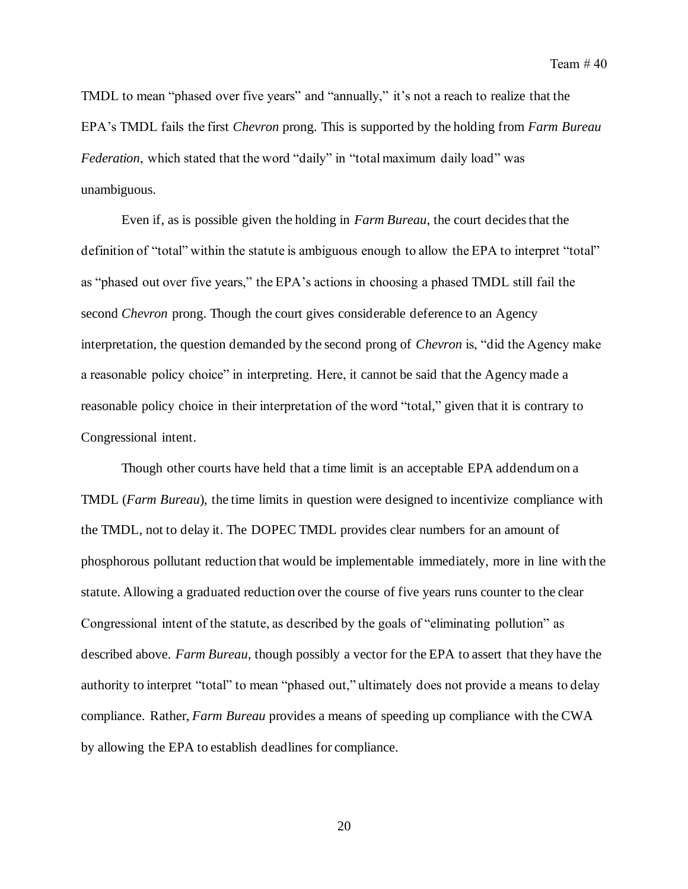TMDL to mean "phased over five years" and "annually," it's not a reach to realize that the EPA's TMDL fails the first *Chevron* prong. This is supported by the holding from *Farm Bureau Federation*, which stated that the word "daily" in "total maximum daily load" was unambiguous.

Even if, as is possible given the holding in *Farm Bureau*, the court decides that the definition of "total" within the statute is ambiguous enough to allow the EPA to interpret "total" as "phased out over five years," the EPA's actions in choosing a phased TMDL still fail the second *Chevron* prong. Though the court gives considerable deference to an Agency interpretation, the question demanded by the second prong of *Chevron* is, "did the Agency make a reasonable policy choice" in interpreting. Here, it cannot be said that the Agency made a reasonable policy choice in their interpretation of the word "total," given that it is contrary to Congressional intent.

Though other courts have held that a time limit is an acceptable EPA addendum on a TMDL (*Farm Bureau*), the time limits in question were designed to incentivize compliance with the TMDL, not to delay it. The DOPEC TMDL provides clear numbers for an amount of phosphorous pollutant reduction that would be implementable immediately, more in line with the statute. Allowing a graduated reduction over the course of five years runs counter to the clear Congressional intent of the statute, as described by the goals of "eliminating pollution" as described above. *Farm Bureau*, though possibly a vector for the EPA to assert that they have the authority to interpret "total" to mean "phased out," ultimately does not provide a means to delay compliance. Rather, *Farm Bureau* provides a means of speeding up compliance with the CWA by allowing the EPA to establish deadlines for compliance.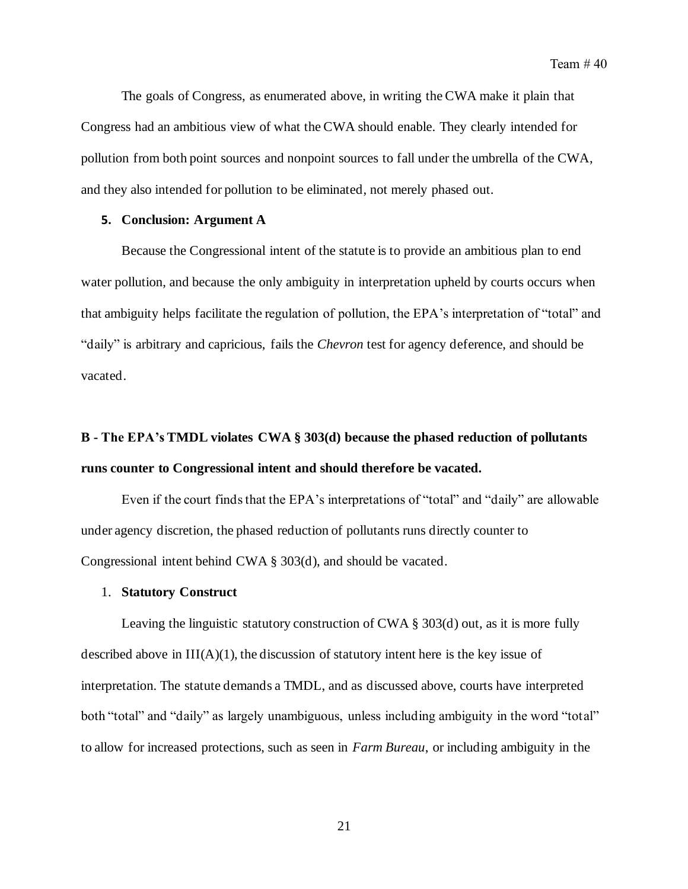The goals of Congress, as enumerated above, in writing the CWA make it plain that Congress had an ambitious view of what the CWA should enable. They clearly intended for pollution from both point sources and nonpoint sources to fall under the umbrella of the CWA, and they also intended for pollution to be eliminated, not merely phased out.

#### **5. Conclusion: Argument A**

Because the Congressional intent of the statute is to provide an ambitious plan to end water pollution, and because the only ambiguity in interpretation upheld by courts occurs when that ambiguity helps facilitate the regulation of pollution, the EPA's interpretation of "total" and "daily" is arbitrary and capricious, fails the *Chevron* test for agency deference, and should be vacated.

# **B - The EPA's TMDL violates CWA § 303(d) because the phased reduction of pollutants runs counter to Congressional intent and should therefore be vacated.**

Even if the court finds that the EPA's interpretations of "total" and "daily" are allowable under agency discretion, the phased reduction of pollutants runs directly counter to Congressional intent behind CWA § 303(d), and should be vacated.

## 1. **Statutory Construct**

Leaving the linguistic statutory construction of CWA § 303(d) out, as it is more fully described above in  $III(A)(1)$ , the discussion of statutory intent here is the key issue of interpretation. The statute demands a TMDL, and as discussed above, courts have interpreted both "total" and "daily" as largely unambiguous, unless including ambiguity in the word "total" to allow for increased protections, such as seen in *Farm Bureau*, or including ambiguity in the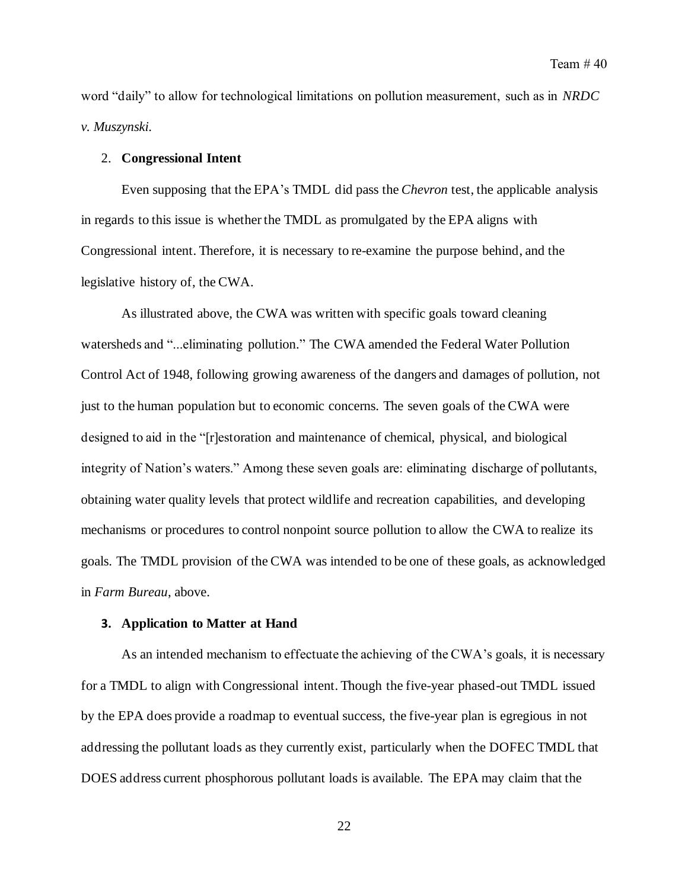word "daily" to allow for technological limitations on pollution measurement, such as in *NRDC v. Muszynski*.

## 2. **Congressional Intent**

Even supposing that the EPA's TMDL did pass the *Chevron* test, the applicable analysis in regards to this issue is whether the TMDL as promulgated by the EPA aligns with Congressional intent. Therefore, it is necessary to re-examine the purpose behind, and the legislative history of, the CWA.

As illustrated above, the CWA was written with specific goals toward cleaning watersheds and "...eliminating pollution." The CWA amended the Federal Water Pollution Control Act of 1948, following growing awareness of the dangers and damages of pollution, not just to the human population but to economic concerns. The seven goals of the CWA were designed to aid in the "[r]estoration and maintenance of chemical, physical, and biological integrity of Nation's waters." Among these seven goals are: eliminating discharge of pollutants, obtaining water quality levels that protect wildlife and recreation capabilities, and developing mechanisms or procedures to control nonpoint source pollution to allow the CWA to realize its goals. The TMDL provision of the CWA was intended to be one of these goals, as acknowledged in *Farm Bureau*, above.

## **3. Application to Matter at Hand**

As an intended mechanism to effectuate the achieving of the CWA's goals, it is necessary for a TMDL to align with Congressional intent. Though the five-year phased-out TMDL issued by the EPA does provide a roadmap to eventual success, the five-year plan is egregious in not addressing the pollutant loads as they currently exist, particularly when the DOFEC TMDL that DOES address current phosphorous pollutant loads is available. The EPA may claim that the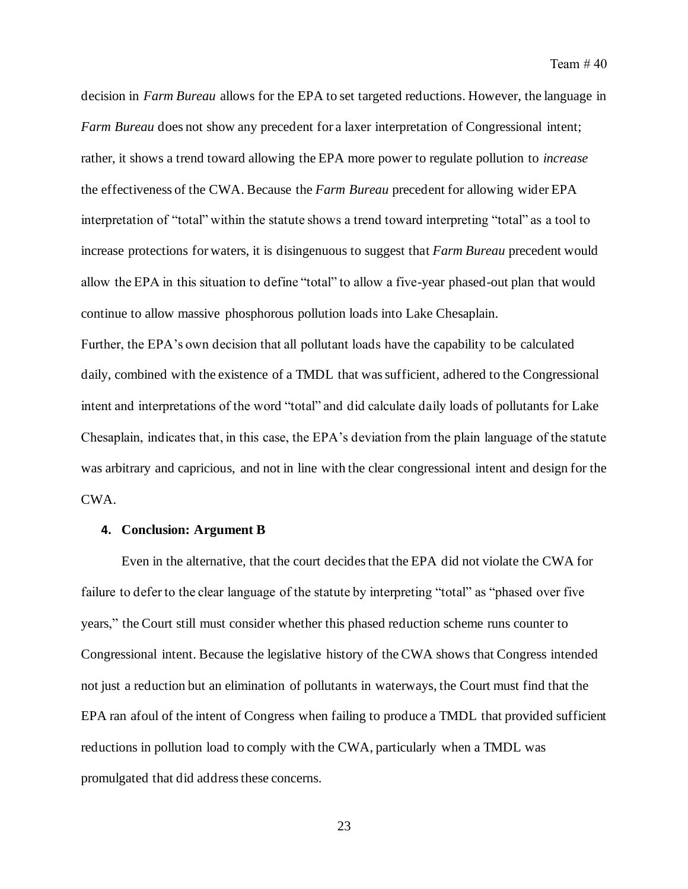decision in *Farm Bureau* allows for the EPA to set targeted reductions. However, the language in *Farm Bureau* does not show any precedent for a laxer interpretation of Congressional intent; rather, it shows a trend toward allowing the EPA more power to regulate pollution to *increase* the effectiveness of the CWA. Because the *Farm Bureau* precedent for allowing wider EPA interpretation of "total" within the statute shows a trend toward interpreting "total" as a tool to increase protections for waters, it is disingenuous to suggest that *Farm Bureau* precedent would allow the EPA in this situation to define "total" to allow a five-year phased-out plan that would continue to allow massive phosphorous pollution loads into Lake Chesaplain.

Further, the EPA's own decision that all pollutant loads have the capability to be calculated daily, combined with the existence of a TMDL that was sufficient, adhered to the Congressional intent and interpretations of the word "total" and did calculate daily loads of pollutants for Lake Chesaplain, indicates that, in this case, the EPA's deviation from the plain language of the statute was arbitrary and capricious, and not in line with the clear congressional intent and design for the CWA.

## **4. Conclusion: Argument B**

Even in the alternative, that the court decides that the EPA did not violate the CWA for failure to defer to the clear language of the statute by interpreting "total" as "phased over five years," the Court still must consider whether this phased reduction scheme runs counter to Congressional intent. Because the legislative history of the CWA shows that Congress intended not just a reduction but an elimination of pollutants in waterways, the Court must find that the EPA ran afoul of the intent of Congress when failing to produce a TMDL that provided sufficient reductions in pollution load to comply with the CWA, particularly when a TMDL was promulgated that did address these concerns.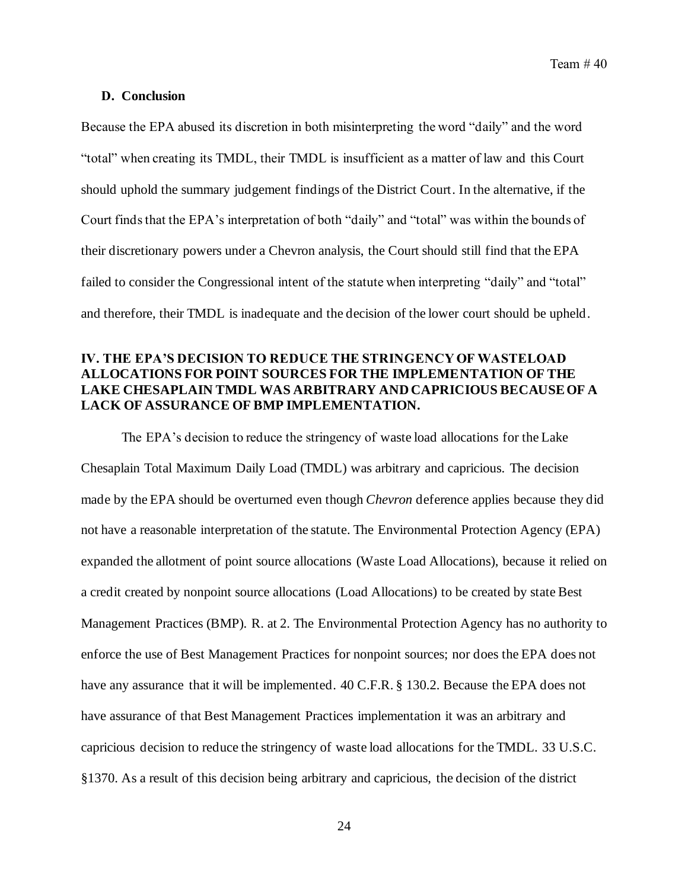## **D. Conclusion**

Because the EPA abused its discretion in both misinterpreting the word "daily" and the word "total" when creating its TMDL, their TMDL is insufficient as a matter of law and this Court should uphold the summary judgement findings of the District Court. In the alternative, if the Court finds that the EPA's interpretation of both "daily" and "total" was within the bounds of their discretionary powers under a Chevron analysis, the Court should still find that the EPA failed to consider the Congressional intent of the statute when interpreting "daily" and "total" and therefore, their TMDL is inadequate and the decision of the lower court should be upheld.

## **IV. THE EPA'S DECISION TO REDUCE THE STRINGENCY OF WASTELOAD ALLOCATIONS FOR POINT SOURCES FOR THE IMPLEMENTATION OF THE LAKE CHESAPLAIN TMDL WAS ARBITRARY AND CAPRICIOUS BECAUSE OF A LACK OF ASSURANCE OF BMP IMPLEMENTATION.**

The EPA's decision to reduce the stringency of waste load allocations for the Lake Chesaplain Total Maximum Daily Load (TMDL) was arbitrary and capricious. The decision made by the EPA should be overturned even though *Chevron* deference applies because they did not have a reasonable interpretation of the statute. The Environmental Protection Agency (EPA) expanded the allotment of point source allocations (Waste Load Allocations), because it relied on a credit created by nonpoint source allocations (Load Allocations) to be created by state Best Management Practices (BMP). R. at 2. The Environmental Protection Agency has no authority to enforce the use of Best Management Practices for nonpoint sources; nor does the EPA does not have any assurance that it will be implemented. 40 C.F.R. § 130.2. Because the EPA does not have assurance of that Best Management Practices implementation it was an arbitrary and capricious decision to reduce the stringency of waste load allocations for the TMDL. 33 U.S.C. §1370. As a result of this decision being arbitrary and capricious, the decision of the district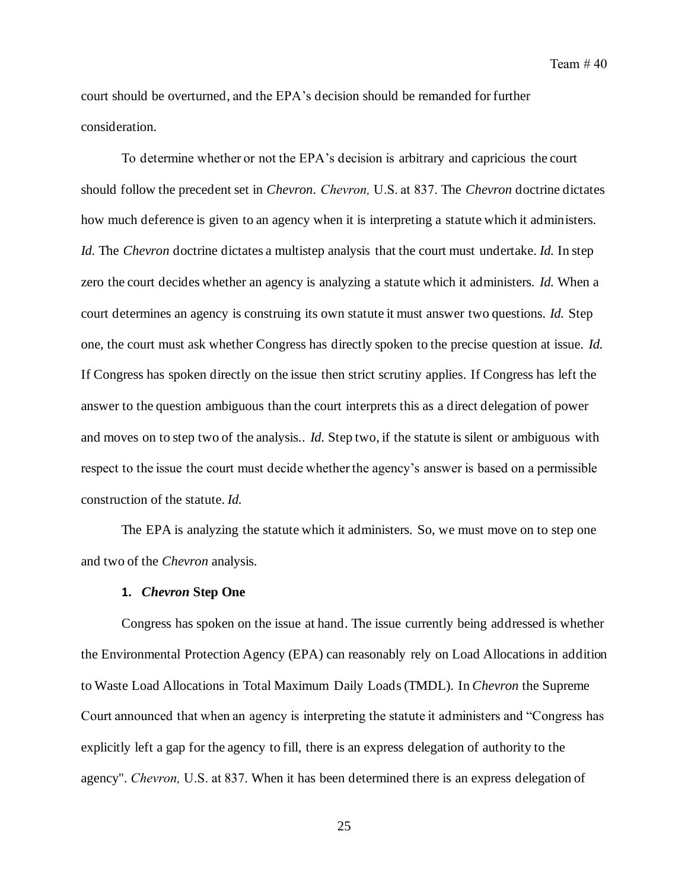court should be overturned, and the EPA's decision should be remanded for further consideration.

To determine whether or not the EPA's decision is arbitrary and capricious the court should follow the precedent set in *Chevron*. *Chevron,* U.S. at 837. The *Chevron* doctrine dictates how much deference is given to an agency when it is interpreting a statute which it administers. *Id.* The *Chevron* doctrine dictates a multistep analysis that the court must undertake. *Id.* In step zero the court decides whether an agency is analyzing a statute which it administers. *Id.* When a court determines an agency is construing its own statute it must answer two questions. *Id.* Step one, the court must ask whether Congress has directly spoken to the precise question at issue. *Id.* If Congress has spoken directly on the issue then strict scrutiny applies. If Congress has left the answer to the question ambiguous than the court interprets this as a direct delegation of power and moves on to step two of the analysis.. *Id.* Step two, if the statute is silent or ambiguous with respect to the issue the court must decide whether the agency's answer is based on a permissible construction of the statute. *Id.*

The EPA is analyzing the statute which it administers. So, we must move on to step one and two of the *Chevron* analysis.

## **1.** *Chevron* **Step One**

Congress has spoken on the issue at hand. The issue currently being addressed is whether the Environmental Protection Agency (EPA) can reasonably rely on Load Allocations in addition to Waste Load Allocations in Total Maximum Daily Loads(TMDL). In *Chevron* the Supreme Court announced that when an agency is interpreting the statute it administers and "Congress has explicitly left a gap for the agency to fill, there is an express delegation of authority to the agency''. *Chevron,* U.S. at 837. When it has been determined there is an express delegation of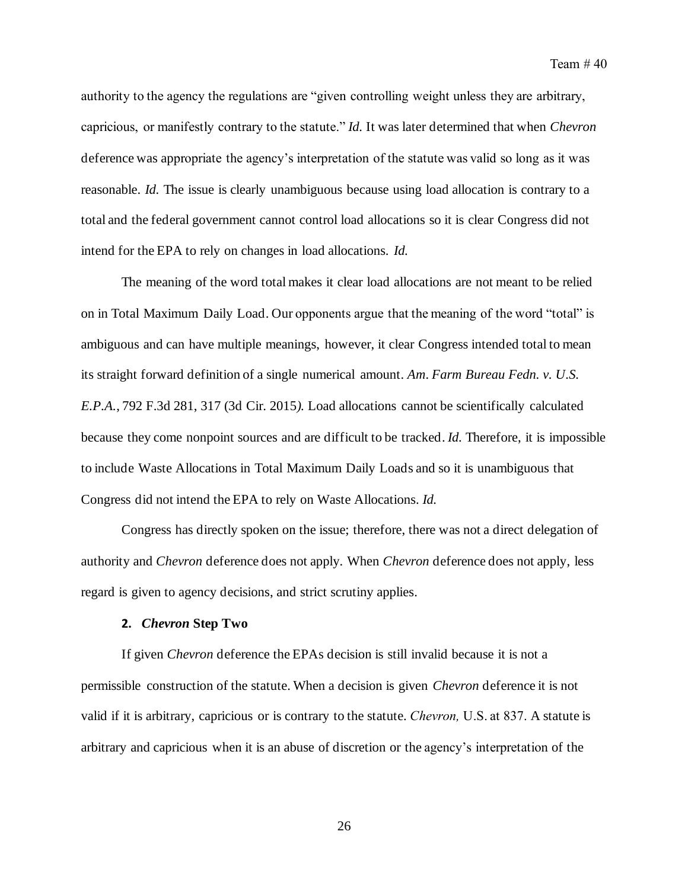authority to the agency the regulations are "given controlling weight unless they are arbitrary, capricious, or manifestly contrary to the statute." *Id.* It was later determined that when *Chevron* deference was appropriate the agency's interpretation of the statute was valid so long as it was reasonable. *Id.* The issue is clearly unambiguous because using load allocation is contrary to a total and the federal government cannot control load allocations so it is clear Congress did not intend for the EPA to rely on changes in load allocations. *Id.*

The meaning of the word total makes it clear load allocations are not meant to be relied on in Total Maximum Daily Load. Our opponents argue that the meaning of the word "total" is ambiguous and can have multiple meanings, however, it clear Congress intended total to mean its straight forward definition of a single numerical amount. *Am. Farm Bureau Fedn. v. U.S. E.P.A.*, 792 F.3d 281, 317 (3d Cir. 2015*).* Load allocations cannot be scientifically calculated because they come nonpoint sources and are difficult to be tracked. *Id.* Therefore, it is impossible to include Waste Allocations in Total Maximum Daily Loads and so it is unambiguous that Congress did not intend the EPA to rely on Waste Allocations. *Id.*

Congress has directly spoken on the issue; therefore, there was not a direct delegation of authority and *Chevron* deference does not apply. When *Chevron* deference does not apply, less regard is given to agency decisions, and strict scrutiny applies.

#### **2.** *Chevron* **Step Two**

If given *Chevron* deference the EPAs decision is still invalid because it is not a permissible construction of the statute. When a decision is given *Chevron* deference it is not valid if it is arbitrary, capricious or is contrary to the statute. *Chevron,* U.S. at 837. A statute is arbitrary and capricious when it is an abuse of discretion or the agency's interpretation of the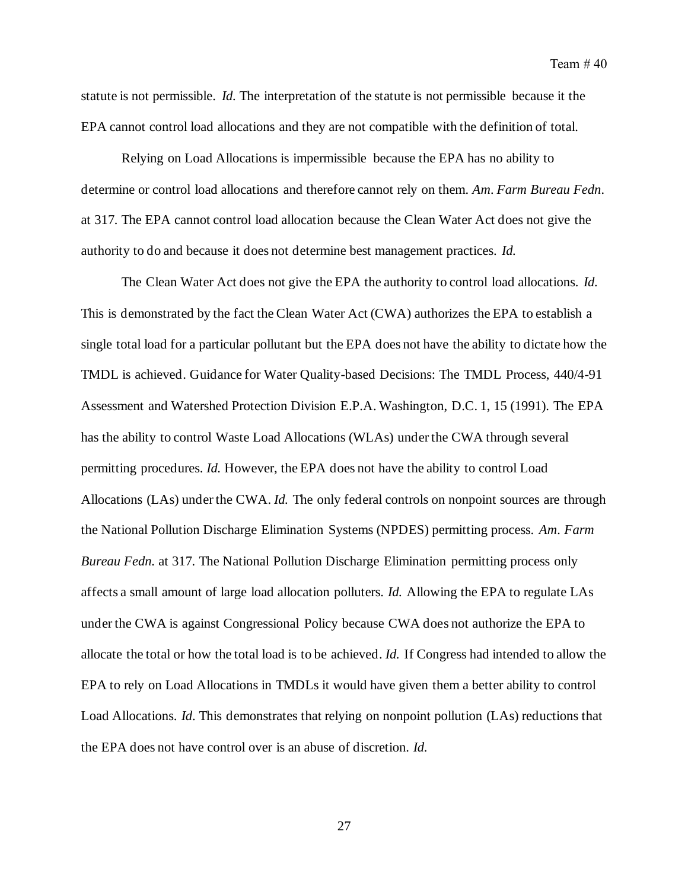statute is not permissible. *Id.* The interpretation of the statute is not permissible because it the EPA cannot control load allocations and they are not compatible with the definition of total.

Relying on Load Allocations is impermissible because the EPA has no ability to determine or control load allocations and therefore cannot rely on them. *Am. Farm Bureau Fedn.*  at 317*.* The EPA cannot control load allocation because the Clean Water Act does not give the authority to do and because it does not determine best management practices. *Id.*

The Clean Water Act does not give the EPA the authority to control load allocations. *Id.*  This is demonstrated by the fact the Clean Water Act (CWA) authorizes the EPA to establish a single total load for a particular pollutant but the EPA does not have the ability to dictate how the TMDL is achieved. Guidance for Water Quality-based Decisions: The TMDL Process, 440/4-91 Assessment and Watershed Protection Division E.P.A. Washington, D.C. 1, 15 (1991). The EPA has the ability to control Waste Load Allocations (WLAs) under the CWA through several permitting procedures. *Id.* However, the EPA does not have the ability to control Load Allocations (LAs) under the CWA. *Id.* The only federal controls on nonpoint sources are through the National Pollution Discharge Elimination Systems (NPDES) permitting process. *Am. Farm Bureau Fedn.* at 317*.* The National Pollution Discharge Elimination permitting process only affects a small amount of large load allocation polluters. *Id.* Allowing the EPA to regulate LAs under the CWA is against Congressional Policy because CWA does not authorize the EPA to allocate the total or how the total load is to be achieved. *Id.* If Congress had intended to allow the EPA to rely on Load Allocations in TMDLs it would have given them a better ability to control Load Allocations. *Id*. This demonstrates that relying on nonpoint pollution (LAs) reductions that the EPA does not have control over is an abuse of discretion. *Id.*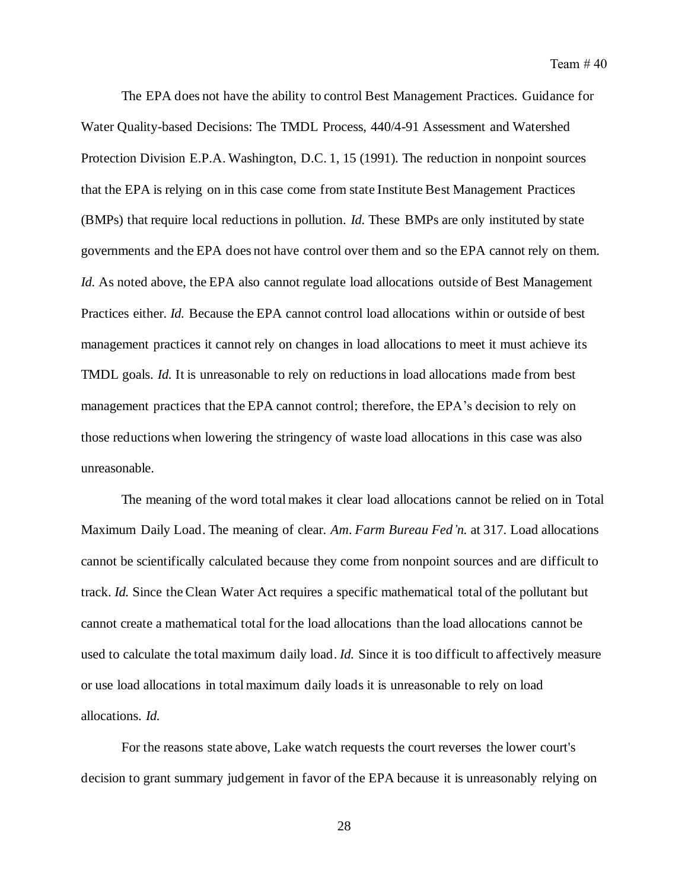The EPA does not have the ability to control Best Management Practices. Guidance for Water Quality-based Decisions: The TMDL Process, 440/4-91 Assessment and Watershed Protection Division E.P.A. Washington, D.C. 1, 15 (1991). The reduction in nonpoint sources that the EPA is relying on in this case come from state Institute Best Management Practices (BMPs) that require local reductions in pollution. *Id.* These BMPs are only instituted by state governments and the EPA does not have control over them and so the EPA cannot rely on them. *Id.* As noted above, the EPA also cannot regulate load allocations outside of Best Management Practices either. *Id.* Because the EPA cannot control load allocations within or outside of best management practices it cannot rely on changes in load allocations to meet it must achieve its TMDL goals. *Id.* It is unreasonable to rely on reductions in load allocations made from best management practices that the EPA cannot control; therefore, the EPA's decision to rely on those reductions when lowering the stringency of waste load allocations in this case was also unreasonable.

The meaning of the word total makes it clear load allocations cannot be relied on in Total Maximum Daily Load. The meaning of clear. *Am. Farm Bureau Fed'n.* at 317*.* Load allocations cannot be scientifically calculated because they come from nonpoint sources and are difficult to track. *Id.* Since the Clean Water Act requires a specific mathematical total of the pollutant but cannot create a mathematical total for the load allocations than the load allocations cannot be used to calculate the total maximum daily load. *Id.* Since it is too difficult to affectively measure or use load allocations in total maximum daily loads it is unreasonable to rely on load allocations. *Id.*

For the reasons state above, Lake watch requests the court reverses the lower court's decision to grant summary judgement in favor of the EPA because it is unreasonably relying on